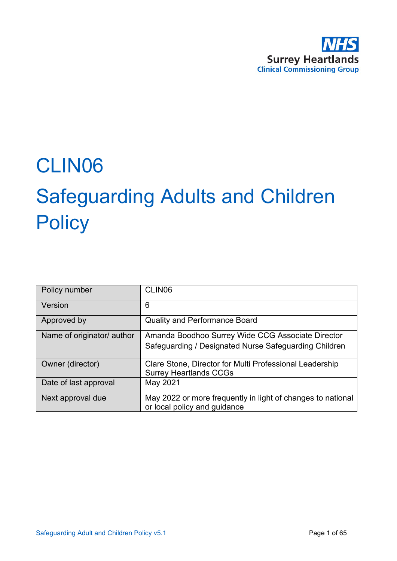

# CLIN06 Safeguarding Adults and Children **Policy**

| Policy number              | CLIN06                                                                                                     |
|----------------------------|------------------------------------------------------------------------------------------------------------|
| Version                    | 6                                                                                                          |
| Approved by                | <b>Quality and Performance Board</b>                                                                       |
| Name of originator/ author | Amanda Boodhoo Surrey Wide CCG Associate Director<br>Safeguarding / Designated Nurse Safeguarding Children |
| Owner (director)           | Clare Stone, Director for Multi Professional Leadership<br><b>Surrey Heartlands CCGs</b>                   |
| Date of last approval      | May 2021                                                                                                   |
| Next approval due          | May 2022 or more frequently in light of changes to national<br>or local policy and guidance                |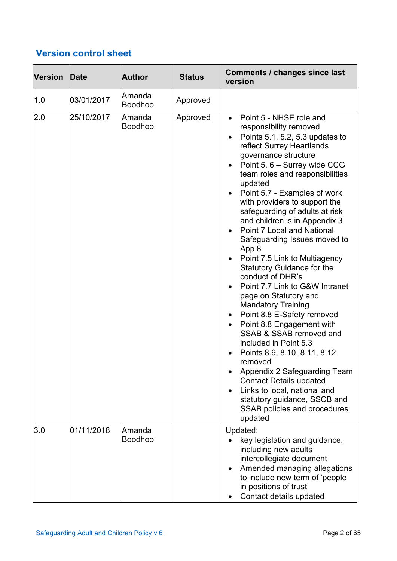# **Version control sheet**

| <b>Version</b> | Date       | Author                   | <b>Status</b> | Comments / changes since last<br>version                                                                                                                                                                                                                                                                                                                                                                                                                                                                                                                                                                                                                                                                                                                                                                                                                                                                                                                                                                               |
|----------------|------------|--------------------------|---------------|------------------------------------------------------------------------------------------------------------------------------------------------------------------------------------------------------------------------------------------------------------------------------------------------------------------------------------------------------------------------------------------------------------------------------------------------------------------------------------------------------------------------------------------------------------------------------------------------------------------------------------------------------------------------------------------------------------------------------------------------------------------------------------------------------------------------------------------------------------------------------------------------------------------------------------------------------------------------------------------------------------------------|
| 1.0            | 03/01/2017 | Amanda<br><b>Boodhoo</b> | Approved      |                                                                                                                                                                                                                                                                                                                                                                                                                                                                                                                                                                                                                                                                                                                                                                                                                                                                                                                                                                                                                        |
| 2.0            | 25/10/2017 | Amanda<br><b>Boodhoo</b> | Approved      | Point 5 - NHSE role and<br>$\bullet$<br>responsibility removed<br>Points 5.1, 5.2, 5.3 updates to<br>$\bullet$<br>reflect Surrey Heartlands<br>governance structure<br>Point 5. 6 - Surrey wide CCG<br>$\bullet$<br>team roles and responsibilities<br>updated<br>Point 5.7 - Examples of work<br>with providers to support the<br>safeguarding of adults at risk<br>and children is in Appendix 3<br><b>Point 7 Local and National</b><br>Safeguarding Issues moved to<br>App 8<br>Point 7.5 Link to Multiagency<br><b>Statutory Guidance for the</b><br>conduct of DHR's<br>Point 7.7 Link to G&W Intranet<br>page on Statutory and<br><b>Mandatory Training</b><br>Point 8.8 E-Safety removed<br>$\bullet$<br>Point 8.8 Engagement with<br>SSAB & SSAB removed and<br>included in Point 5.3<br>Points 8.9, 8.10, 8.11, 8.12<br>removed<br>Appendix 2 Safeguarding Team<br><b>Contact Details updated</b><br>Links to local, national and<br>statutory guidance, SSCB and<br>SSAB policies and procedures<br>updated |
| 3.0            | 01/11/2018 | Amanda<br><b>Boodhoo</b> |               | Updated:<br>key legislation and guidance,<br>including new adults<br>intercollegiate document<br>Amended managing allegations<br>to include new term of 'people<br>in positions of trust'<br>Contact details updated                                                                                                                                                                                                                                                                                                                                                                                                                                                                                                                                                                                                                                                                                                                                                                                                   |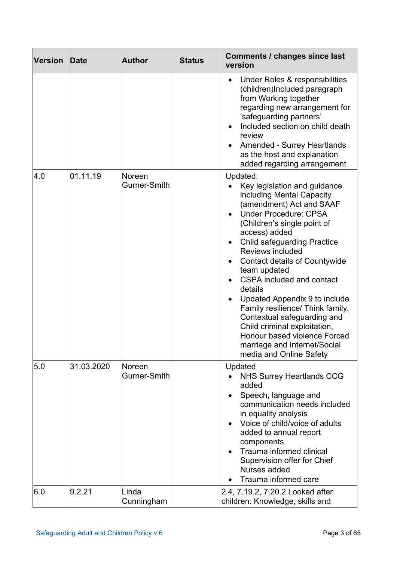| <b>Version</b> | Date       | <b>Author</b>          | <b>Status</b> | Comments / changes since last<br>version                                                                                                                                                                                                                                                                                                                                                                                                                                                                                                                                                                                        |
|----------------|------------|------------------------|---------------|---------------------------------------------------------------------------------------------------------------------------------------------------------------------------------------------------------------------------------------------------------------------------------------------------------------------------------------------------------------------------------------------------------------------------------------------------------------------------------------------------------------------------------------------------------------------------------------------------------------------------------|
|                |            |                        |               | Under Roles & responsibilities<br>(children)Included paragraph<br>from Working together<br>regarding new arrangement for<br>'safeguarding partners'<br>Included section on child death<br>$\bullet$<br>review<br><b>Amended - Surrey Heartlands</b><br>as the host and explanation<br>added regarding arrangement                                                                                                                                                                                                                                                                                                               |
| 4.0            | 01.11.19   | Noreen<br>Gurner-Smith |               | Updated:<br>Key legislation and guidance<br>$\bullet$<br>including Mental Capacity<br>(amendment) Act and SAAF<br><b>Under Procedure: CPSA</b><br>(Children's single point of<br>access) added<br><b>Child safeguarding Practice</b><br>$\bullet$<br><b>Reviews included</b><br><b>Contact details of Countywide</b><br>$\bullet$<br>team updated<br><b>CSPA</b> included and contact<br>details<br>Updated Appendix 9 to include<br>Family resilience/ Think family,<br>Contextual safeguarding and<br>Child criminal exploitation,<br>Honour based violence Forced<br>marriage and Internet/Social<br>media and Online Safety |
| 5.0            | 31.03.2020 | Noreen<br>Gurner-Smith |               | Updated<br><b>NHS Surrey Heartlands CCG</b><br>added<br>Speech, language and<br>communication needs included<br>in equality analysis<br>Voice of child/voice of adults<br>added to annual report<br>components<br>Trauma informed clinical<br>Supervision offer for Chief<br>Nurses added<br>Trauma informed care                                                                                                                                                                                                                                                                                                               |
| 6.0            | 9.2.21     | Linda<br>Cunningham    |               | 2.4, 7.19.2, 7.20.2 Looked after<br>children: Knowledge, skills and                                                                                                                                                                                                                                                                                                                                                                                                                                                                                                                                                             |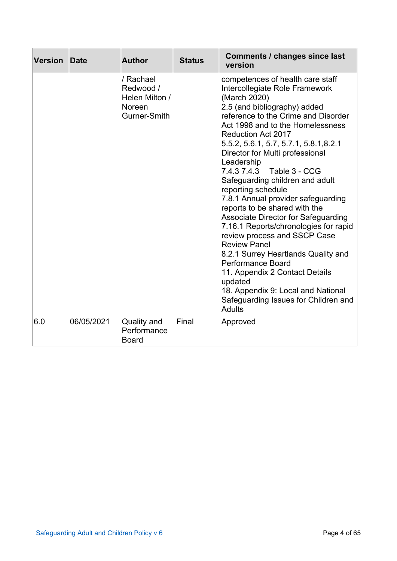| <b>Version</b> | Date       | <b>Author</b>                                                      | <b>Status</b> | <b>Comments / changes since last</b><br>version                                                                                                                                                                                                                                                                                                                                                                                                                                                                                                                                                                                                                                                                                                                                                                                   |
|----------------|------------|--------------------------------------------------------------------|---------------|-----------------------------------------------------------------------------------------------------------------------------------------------------------------------------------------------------------------------------------------------------------------------------------------------------------------------------------------------------------------------------------------------------------------------------------------------------------------------------------------------------------------------------------------------------------------------------------------------------------------------------------------------------------------------------------------------------------------------------------------------------------------------------------------------------------------------------------|
|                |            | / Rachael<br>Redwood /<br>Helen Milton /<br>Noreen<br>Gurner-Smith |               | competences of health care staff<br>Intercollegiate Role Framework<br>(March 2020)<br>2.5 (and bibliography) added<br>reference to the Crime and Disorder<br>Act 1998 and to the Homelessness<br><b>Reduction Act 2017</b><br>5.5.2, 5.6.1, 5.7, 5.7.1, 5.8.1, 8.2.1<br>Director for Multi professional<br>Leadership<br>7.4.3 7.4.3 Table 3 - CCG<br>Safeguarding children and adult<br>reporting schedule<br>7.8.1 Annual provider safeguarding<br>reports to be shared with the<br>Associate Director for Safeguarding<br>7.16.1 Reports/chronologies for rapid<br>review process and SSCP Case<br><b>Review Panel</b><br>8.2.1 Surrey Heartlands Quality and<br><b>Performance Board</b><br>11. Appendix 2 Contact Details<br>updated<br>18. Appendix 9: Local and National<br>Safeguarding Issues for Children and<br>Adults |
| 6.0            | 06/05/2021 | Quality and<br>Performance<br><b>Board</b>                         | Final         | Approved                                                                                                                                                                                                                                                                                                                                                                                                                                                                                                                                                                                                                                                                                                                                                                                                                          |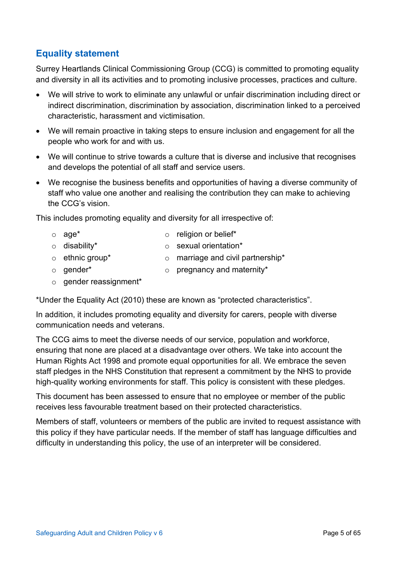# **Equality statement**

Surrey Heartlands Clinical Commissioning Group (CCG) is committed to promoting equality and diversity in all its activities and to promoting inclusive processes, practices and culture.

- We will strive to work to eliminate any unlawful or unfair discrimination including direct or indirect discrimination, discrimination by association, discrimination linked to a perceived characteristic, harassment and victimisation.
- We will remain proactive in taking steps to ensure inclusion and engagement for all the people who work for and with us.
- We will continue to strive towards a culture that is diverse and inclusive that recognises and develops the potential of all staff and service users.
- We recognise the business benefits and opportunities of having a diverse community of staff who value one another and realising the contribution they can make to achieving the CCG's vision.

This includes promoting equality and diversity for all irrespective of:

- o age\* o religion or belief\*
- o disability\* o sexual orientation\*
- o ethnic group\* o marriage and civil partnership\*
- o gender\* o pregnancy and maternity\*
- o gender reassignment\*

\*Under the Equality Act (2010) these are known as "protected characteristics".

In addition, it includes promoting equality and diversity for carers, people with diverse communication needs and veterans.

The CCG aims to meet the diverse needs of our service, population and workforce, ensuring that none are placed at a disadvantage over others. We take into account the Human Rights Act 1998 and promote equal opportunities for all. We embrace the seven staff pledges in the NHS Constitution that represent a commitment by the NHS to provide high-quality working environments for staff. This policy is consistent with these pledges.

This document has been assessed to ensure that no employee or member of the public receives less favourable treatment based on their protected characteristics.

Members of staff, volunteers or members of the public are invited to request assistance with this policy if they have particular needs. If the member of staff has language difficulties and difficulty in understanding this policy, the use of an interpreter will be considered.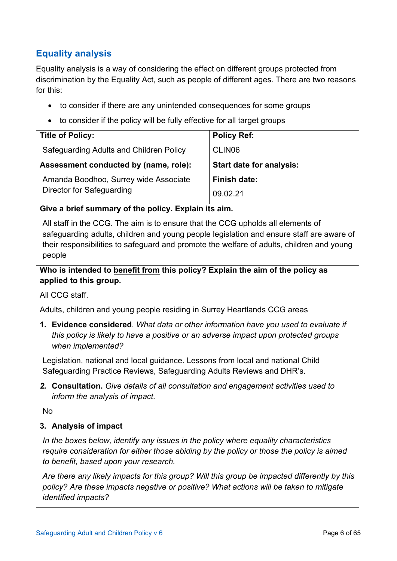# **Equality analysis**

Equality analysis is a way of considering the effect on different groups protected from discrimination by the Equality Act, such as people of different ages. There are two reasons for this:

- to consider if there are any unintended consequences for some groups
- to consider if the policy will be fully effective for all target groups

| <b>Title of Policy:</b>                 | <b>Policy Ref:</b>              |
|-----------------------------------------|---------------------------------|
| Safeguarding Adults and Children Policy | CLIN <sub>06</sub>              |
| Assessment conducted by (name, role):   | <b>Start date for analysis:</b> |
| Amanda Boodhoo, Surrey wide Associate   | Finish date:                    |
| Director for Safeguarding               | 09.02.21                        |

#### **Give a brief summary of the policy. Explain its aim.**

All staff in the CCG. The aim is to ensure that the CCG upholds all elements of safeguarding adults, children and young people legislation and ensure staff are aware of their responsibilities to safeguard and promote the welfare of adults, children and young people

## **Who is intended to benefit from this policy? Explain the aim of the policy as applied to this group.**

All CCG staff.

Adults, children and young people residing in Surrey Heartlands CCG areas

**1. Evidence considered**. *What data or other information have you used to evaluate if this policy is likely to have a positive or an adverse impact upon protected groups when implemented?*

Legislation, national and local guidance. Lessons from local and national Child Safeguarding Practice Reviews, Safeguarding Adults Reviews and DHR's.

*2.* **Consultation.** *Give details of all consultation and engagement activities used to inform the analysis of impact.*

No

#### **3. Analysis of impact**

*In the boxes below, identify any issues in the policy where equality characteristics require consideration for either those abiding by the policy or those the policy is aimed to benefit, based upon your research.*

*Are there any likely impacts for this group? Will this group be impacted differently by this policy? Are these impacts negative or positive? What actions will be taken to mitigate identified impacts?*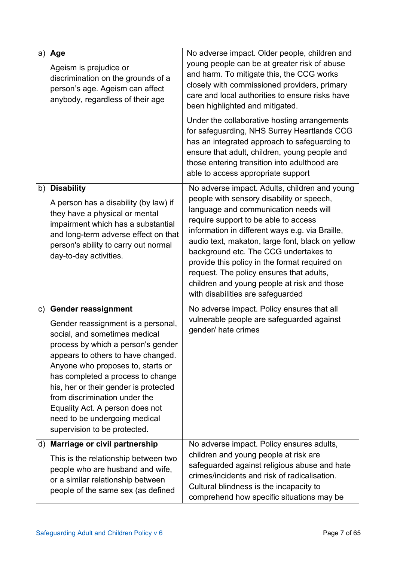| a) Age<br>Ageism is prejudice or<br>discrimination on the grounds of a<br>person's age. Ageism can affect<br>anybody, regardless of their age                                                                                                                                                                                                                                                                                     | No adverse impact. Older people, children and<br>young people can be at greater risk of abuse<br>and harm. To mitigate this, the CCG works<br>closely with commissioned providers, primary<br>care and local authorities to ensure risks have<br>been highlighted and mitigated.                                                                                                                                                                                                                             |
|-----------------------------------------------------------------------------------------------------------------------------------------------------------------------------------------------------------------------------------------------------------------------------------------------------------------------------------------------------------------------------------------------------------------------------------|--------------------------------------------------------------------------------------------------------------------------------------------------------------------------------------------------------------------------------------------------------------------------------------------------------------------------------------------------------------------------------------------------------------------------------------------------------------------------------------------------------------|
|                                                                                                                                                                                                                                                                                                                                                                                                                                   | Under the collaborative hosting arrangements<br>for safeguarding, NHS Surrey Heartlands CCG<br>has an integrated approach to safeguarding to<br>ensure that adult, children, young people and<br>those entering transition into adulthood are<br>able to access appropriate support                                                                                                                                                                                                                          |
| b) Disability<br>A person has a disability (by law) if<br>they have a physical or mental<br>impairment which has a substantial<br>and long-term adverse effect on that<br>person's ability to carry out normal<br>day-to-day activities.                                                                                                                                                                                          | No adverse impact. Adults, children and young<br>people with sensory disability or speech,<br>language and communication needs will<br>require support to be able to access<br>information in different ways e.g. via Braille,<br>audio text, makaton, large font, black on yellow<br>background etc. The CCG undertakes to<br>provide this policy in the format required on<br>request. The policy ensures that adults,<br>children and young people at risk and those<br>with disabilities are safeguarded |
| c) Gender reassignment<br>Gender reassignment is a personal,<br>social, and sometimes medical<br>process by which a person's gender<br>appears to others to have changed.<br>Anyone who proposes to, starts or<br>has completed a process to change<br>his, her or their gender is protected<br>from discrimination under the<br>Equality Act. A person does not<br>need to be undergoing medical<br>supervision to be protected. | No adverse impact. Policy ensures that all<br>vulnerable people are safeguarded against<br>gender/ hate crimes                                                                                                                                                                                                                                                                                                                                                                                               |
| d) Marriage or civil partnership<br>This is the relationship between two<br>people who are husband and wife,<br>or a similar relationship between<br>people of the same sex (as defined                                                                                                                                                                                                                                           | No adverse impact. Policy ensures adults,<br>children and young people at risk are<br>safequarded against religious abuse and hate<br>crimes/incidents and risk of radicalisation.<br>Cultural blindness is the incapacity to<br>comprehend how specific situations may be                                                                                                                                                                                                                                   |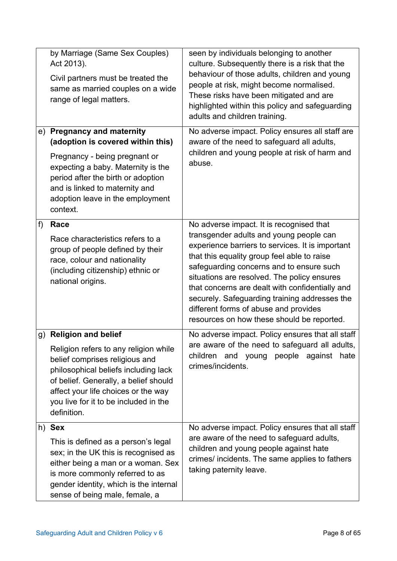|    | by Marriage (Same Sex Couples)<br>Act 2013).<br>Civil partners must be treated the<br>same as married couples on a wide<br>range of legal matters.                                                                                                                                    | seen by individuals belonging to another<br>culture. Subsequently there is a risk that the<br>behaviour of those adults, children and young<br>people at risk, might become normalised.<br>These risks have been mitigated and are<br>highlighted within this policy and safeguarding<br>adults and children training.                                                                                                                                                       |
|----|---------------------------------------------------------------------------------------------------------------------------------------------------------------------------------------------------------------------------------------------------------------------------------------|------------------------------------------------------------------------------------------------------------------------------------------------------------------------------------------------------------------------------------------------------------------------------------------------------------------------------------------------------------------------------------------------------------------------------------------------------------------------------|
|    | e) Pregnancy and maternity<br>(adoption is covered within this)<br>Pregnancy - being pregnant or<br>expecting a baby. Maternity is the<br>period after the birth or adoption<br>and is linked to maternity and<br>adoption leave in the employment<br>context.                        | No adverse impact. Policy ensures all staff are<br>aware of the need to safeguard all adults,<br>children and young people at risk of harm and<br>abuse.                                                                                                                                                                                                                                                                                                                     |
| f) | Race<br>Race characteristics refers to a<br>group of people defined by their<br>race, colour and nationality<br>(including citizenship) ethnic or<br>national origins.                                                                                                                | No adverse impact. It is recognised that<br>transgender adults and young people can<br>experience barriers to services. It is important<br>that this equality group feel able to raise<br>safeguarding concerns and to ensure such<br>situations are resolved. The policy ensures<br>that concerns are dealt with confidentially and<br>securely. Safeguarding training addresses the<br>different forms of abuse and provides<br>resources on how these should be reported. |
| g) | <b>Religion and belief</b><br>Religion refers to any religion while<br>belief comprises religious and<br>philosophical beliefs including lack<br>of belief. Generally, a belief should<br>affect your life choices or the way<br>you live for it to be included in the<br>definition. | No adverse impact. Policy ensures that all staff<br>are aware of the need to safeguard all adults,<br>children and young<br>people against<br>hate<br>crimes/incidents.                                                                                                                                                                                                                                                                                                      |
|    | h) Sex<br>This is defined as a person's legal<br>sex; in the UK this is recognised as<br>either being a man or a woman. Sex<br>is more commonly referred to as<br>gender identity, which is the internal<br>sense of being male, female, a                                            | No adverse impact. Policy ensures that all staff<br>are aware of the need to safeguard adults,<br>children and young people against hate<br>crimes/ incidents. The same applies to fathers<br>taking paternity leave.                                                                                                                                                                                                                                                        |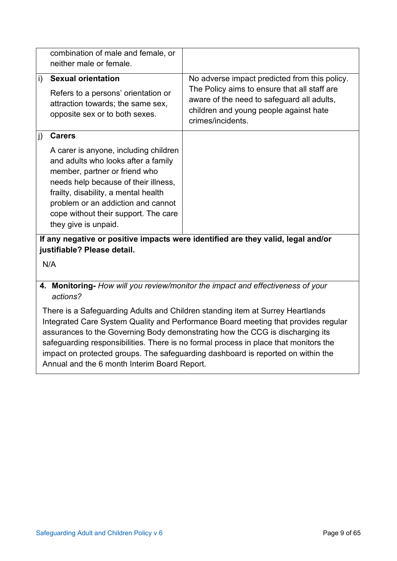|             | combination of male and female, or                                                                                                                                                                                                                                                                  |                                                                                                                                                                                                                                                                                                                                                                                                                                   |
|-------------|-----------------------------------------------------------------------------------------------------------------------------------------------------------------------------------------------------------------------------------------------------------------------------------------------------|-----------------------------------------------------------------------------------------------------------------------------------------------------------------------------------------------------------------------------------------------------------------------------------------------------------------------------------------------------------------------------------------------------------------------------------|
|             | neither male or female.                                                                                                                                                                                                                                                                             |                                                                                                                                                                                                                                                                                                                                                                                                                                   |
| i)          | <b>Sexual orientation</b><br>Refers to a persons' orientation or<br>attraction towards; the same sex,<br>opposite sex or to both sexes.                                                                                                                                                             | No adverse impact predicted from this policy.<br>The Policy aims to ensure that all staff are<br>aware of the need to safeguard all adults,<br>children and young people against hate<br>crimes/incidents.                                                                                                                                                                                                                        |
| $ j\rangle$ | <b>Carers</b>                                                                                                                                                                                                                                                                                       |                                                                                                                                                                                                                                                                                                                                                                                                                                   |
|             | A carer is anyone, including children<br>and adults who looks after a family<br>member, partner or friend who<br>needs help because of their illness,<br>frailty, disability, a mental health<br>problem or an addiction and cannot<br>cope without their support. The care<br>they give is unpaid. |                                                                                                                                                                                                                                                                                                                                                                                                                                   |
|             |                                                                                                                                                                                                                                                                                                     | If any negative or positive impacts were identified are they valid, legal and/or                                                                                                                                                                                                                                                                                                                                                  |
|             | justifiable? Please detail.                                                                                                                                                                                                                                                                         |                                                                                                                                                                                                                                                                                                                                                                                                                                   |
|             | N/A                                                                                                                                                                                                                                                                                                 |                                                                                                                                                                                                                                                                                                                                                                                                                                   |
|             | actions?                                                                                                                                                                                                                                                                                            | 4. Monitoring- How will you review/monitor the impact and effectiveness of your                                                                                                                                                                                                                                                                                                                                                   |
|             |                                                                                                                                                                                                                                                                                                     | There is a Safeguarding Adults and Children standing item at Surrey Heartlands<br>Integrated Care System Quality and Performance Board meeting that provides regular<br>assurances to the Governing Body demonstrating how the CCG is discharging its<br>safeguarding responsibilities. There is no formal process in place that monitors the<br>impact on protected groups. The safeguarding dashboard is reported on within the |

Annual and the 6 month Interim Board Report.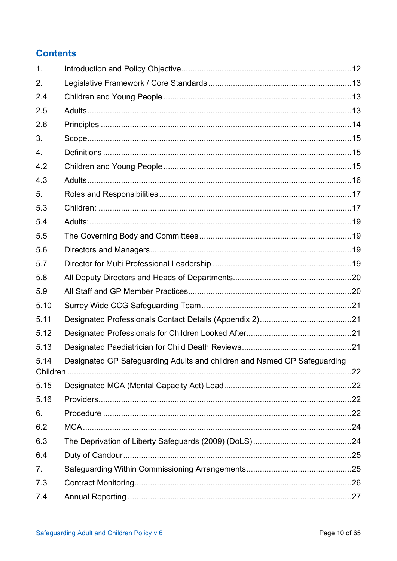# **Contents**

| $\mathbf{1}$ . |                                                                          |  |
|----------------|--------------------------------------------------------------------------|--|
| 2.             |                                                                          |  |
| 2.4            |                                                                          |  |
| 2.5            |                                                                          |  |
| 2.6            |                                                                          |  |
| 3.             |                                                                          |  |
| 4.             |                                                                          |  |
| 4.2            |                                                                          |  |
| 4.3            |                                                                          |  |
| 5.             |                                                                          |  |
| 5.3            |                                                                          |  |
| 5.4            |                                                                          |  |
| 5.5            |                                                                          |  |
| 5.6            |                                                                          |  |
| 5.7            |                                                                          |  |
| 5.8            |                                                                          |  |
| 5.9            |                                                                          |  |
| 5.10           |                                                                          |  |
| 5.11           |                                                                          |  |
| 5.12           |                                                                          |  |
| 5.13           |                                                                          |  |
| 5.14           | Designated GP Safeguarding Adults and children and Named GP Safeguarding |  |
|                |                                                                          |  |
| 5.15           |                                                                          |  |
| 5.16           |                                                                          |  |
| 6.             |                                                                          |  |
| 6.2            |                                                                          |  |
| 6.3            |                                                                          |  |
| 6.4            |                                                                          |  |
| 7.             |                                                                          |  |
| 7.3            |                                                                          |  |
| 7.4            |                                                                          |  |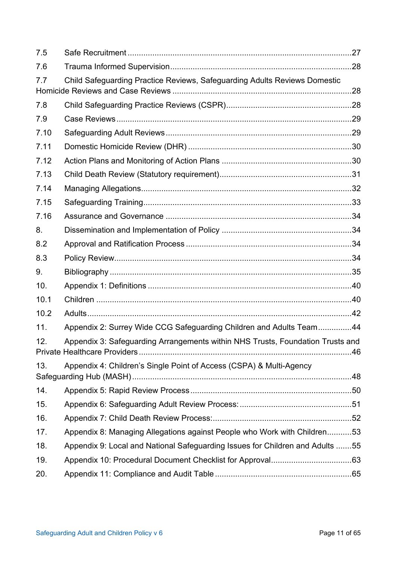| 7.5  |                                                                                |  |
|------|--------------------------------------------------------------------------------|--|
| 7.6  |                                                                                |  |
| 7.7  | Child Safeguarding Practice Reviews, Safeguarding Adults Reviews Domestic      |  |
|      |                                                                                |  |
| 7.8  |                                                                                |  |
| 7.9  |                                                                                |  |
| 7.10 |                                                                                |  |
| 7.11 |                                                                                |  |
| 7.12 |                                                                                |  |
| 7.13 |                                                                                |  |
| 7.14 |                                                                                |  |
| 7.15 |                                                                                |  |
| 7.16 |                                                                                |  |
| 8.   |                                                                                |  |
| 8.2  |                                                                                |  |
| 8.3  |                                                                                |  |
| 9.   |                                                                                |  |
| 10.  |                                                                                |  |
| 10.1 |                                                                                |  |
| 10.2 |                                                                                |  |
| 11.  | Appendix 2: Surrey Wide CCG Safeguarding Children and Adults Team44            |  |
| 12.  | Appendix 3: Safeguarding Arrangements within NHS Trusts, Foundation Trusts and |  |
| 13.  | Appendix 4: Children's Single Point of Access (CSPA) & Multi-Agency            |  |
| 14.  |                                                                                |  |
| 15.  |                                                                                |  |
| 16.  |                                                                                |  |
| 17.  | Appendix 8: Managing Allegations against People who Work with Children53       |  |
| 18.  | Appendix 9: Local and National Safeguarding Issues for Children and Adults 55  |  |
| 19.  |                                                                                |  |
| 20.  |                                                                                |  |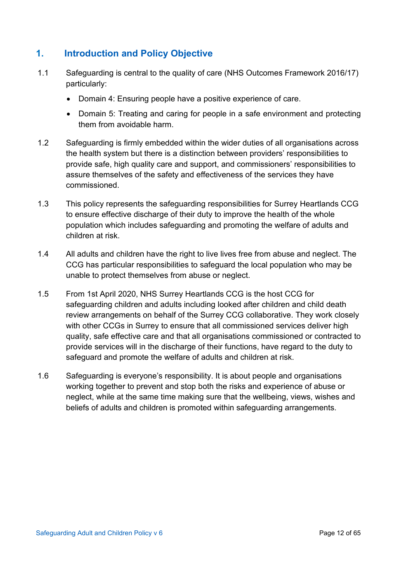# <span id="page-11-0"></span>**1. Introduction and Policy Objective**

- 1.1 Safeguarding is central to the quality of care (NHS Outcomes Framework 2016/17) particularly:
	- Domain 4: Ensuring people have a positive experience of care.
	- Domain 5: Treating and caring for people in a safe environment and protecting them from avoidable harm.
- 1.2 Safeguarding is firmly embedded within the wider duties of all organisations across the health system but there is a distinction between providers' responsibilities to provide safe, high quality care and support, and commissioners' responsibilities to assure themselves of the safety and effectiveness of the services they have commissioned.
- 1.3 This policy represents the safeguarding responsibilities for Surrey Heartlands CCG to ensure effective discharge of their duty to improve the health of the whole population which includes safeguarding and promoting the welfare of adults and children at risk.
- 1.4 All adults and children have the right to live lives free from abuse and neglect. The CCG has particular responsibilities to safeguard the local population who may be unable to protect themselves from abuse or neglect.
- 1.5 From 1st April 2020, NHS Surrey Heartlands CCG is the host CCG for safeguarding children and adults including looked after children and child death review arrangements on behalf of the Surrey CCG collaborative. They work closely with other CCGs in Surrey to ensure that all commissioned services deliver high quality, safe effective care and that all organisations commissioned or contracted to provide services will in the discharge of their functions, have regard to the duty to safeguard and promote the welfare of adults and children at risk.
- 1.6 Safeguarding is everyone's responsibility. It is about people and organisations working together to prevent and stop both the risks and experience of abuse or neglect, while at the same time making sure that the wellbeing, views, wishes and beliefs of adults and children is promoted within safeguarding arrangements.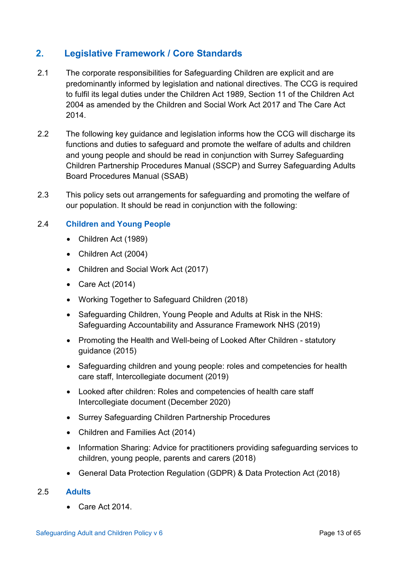# <span id="page-12-0"></span>**2. Legislative Framework / Core Standards**

- 2.1 The corporate responsibilities for Safeguarding Children are explicit and are predominantly informed by legislation and national directives. The CCG is required to fulfil its legal duties under the Children Act 1989, Section 11 of the Children Act 2004 as amended by the Children and Social Work Act 2017 and The Care Act 2014.
- 2.2 The following key guidance and legislation informs how the CCG will discharge its functions and duties to safeguard and promote the welfare of adults and children and young people and should be read in conjunction with Surrey Safeguarding Children Partnership Procedures Manual (SSCP) and Surrey Safeguarding Adults Board Procedures Manual (SSAB)
- 2.3 This policy sets out arrangements for safeguarding and promoting the welfare of our population. It should be read in conjunction with the following:

#### <span id="page-12-1"></span>2.4 **Children and Young People**

- Children Act (1989)
- Children Act (2004)
- Children and Social Work Act (2017)
- Care Act (2014)
- Working Together to Safeguard Children (2018)
- Safeguarding Children, Young People and Adults at Risk in the NHS: Safeguarding Accountability and Assurance Framework NHS (2019)
- Promoting the Health and Well-being of Looked After Children statutory guidance (2015)
- Safeguarding children and young people: roles and competencies for health care staff, Intercollegiate document (2019)
- Looked after children: Roles and competencies of health care staff Intercollegiate document (December 2020)
- Surrey Safeguarding Children Partnership Procedures
- Children and Families Act (2014)
- Information Sharing: Advice for practitioners providing safeguarding services to children, young people, parents and carers (2018)
- General Data Protection Regulation (GDPR) & Data Protection Act (2018)

#### <span id="page-12-2"></span>2.5 **Adults**

• Care Act 2014.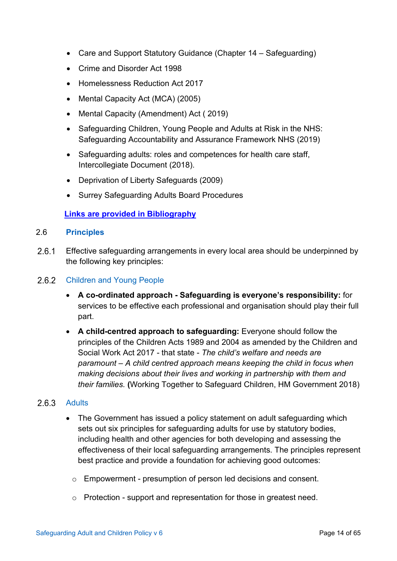- Care and Support Statutory Guidance (Chapter 14 Safeguarding)
- Crime and Disorder Act 1998
- Homelessness Reduction Act 2017
- Mental Capacity Act (MCA) (2005)
- Mental Capacity (Amendment) Act ( 2019)
- Safeguarding Children, Young People and Adults at Risk in the NHS: Safeguarding Accountability and Assurance Framework NHS (2019)
- Safeguarding adults: roles and competences for health care staff, Intercollegiate Document (2018).
- Deprivation of Liberty Safeguards (2009)
- Surrey Safeguarding Adults Board Procedures

#### **Links are provided in Bibliography**

#### <span id="page-13-0"></span>2.6 **Principles**

 $2.6.1$ Effective safeguarding arrangements in every local area should be underpinned by the following key principles:

#### $2.6.2$ Children and Young People

- **A co-ordinated approach - Safeguarding is everyone's responsibility:** for services to be effective each professional and organisation should play their full part.
- **A child-centred approach to safeguarding:** Everyone should follow the principles of the Children Acts 1989 and 2004 as amended by the Children and Social Work Act 2017 - that state - *The child's welfare and needs are paramount – A child centred approach means keeping the child in focus when making decisions about their lives and working in partnership with them and their families.* **(**Working Together to Safeguard Children, HM Government 2018)

#### $2.6.3$ Adults

- The Government has issued a policy statement on adult safeguarding which sets out six principles for safeguarding adults for use by statutory bodies, including health and other agencies for both developing and assessing the effectiveness of their local safeguarding arrangements. The principles represent best practice and provide a foundation for achieving good outcomes:
	- $\circ$  Empowerment presumption of person led decisions and consent.
	- o Protection support and representation for those in greatest need.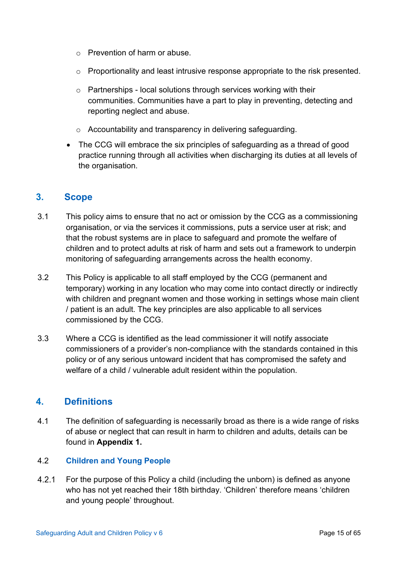- o Prevention of harm or abuse.
- o Proportionality and least intrusive response appropriate to the risk presented.
- o Partnerships local solutions through services working with their communities. Communities have a part to play in preventing, detecting and reporting neglect and abuse.
- o Accountability and transparency in delivering safeguarding.
- The CCG will embrace the six principles of safeguarding as a thread of good practice running through all activities when discharging its duties at all levels of the organisation.

## <span id="page-14-0"></span>**3. Scope**

- 3.1 This policy aims to ensure that no act or omission by the CCG as a commissioning organisation, or via the services it commissions, puts a service user at risk; and that the robust systems are in place to safeguard and promote the welfare of children and to protect adults at risk of harm and sets out a framework to underpin monitoring of safeguarding arrangements across the health economy.
- 3.2 This Policy is applicable to all staff employed by the CCG (permanent and temporary) working in any location who may come into contact directly or indirectly with children and pregnant women and those working in settings whose main client / patient is an adult. The key principles are also applicable to all services commissioned by the CCG.
- 3.3 Where a CCG is identified as the lead commissioner it will notify associate commissioners of a provider's non-compliance with the standards contained in this policy or of any serious untoward incident that has compromised the safety and welfare of a child / vulnerable adult resident within the population.

# <span id="page-14-1"></span>**4. Definitions**

4.1 The definition of safeguarding is necessarily broad as there is a wide range of risks of abuse or neglect that can result in harm to children and adults, details can be found in **Appendix 1.**

#### <span id="page-14-2"></span>4.2 **Children and Young People**

 $4.2.1$ For the purpose of this Policy a child (including the unborn) is defined as anyone who has not yet reached their 18th birthday. 'Children' therefore means 'children and young people' throughout.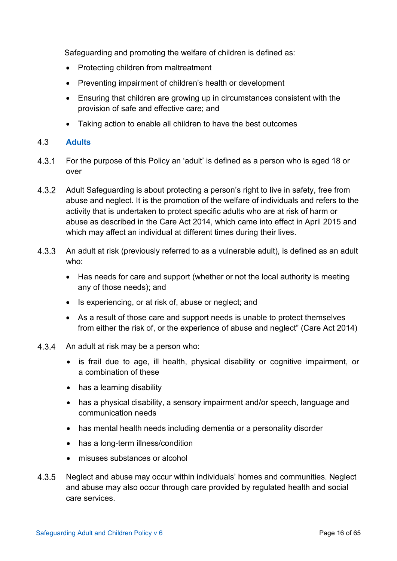Safeguarding and promoting the welfare of children is defined as:

- Protecting children from maltreatment
- Preventing impairment of children's health or development
- Ensuring that children are growing up in circumstances consistent with the provision of safe and effective care; and
- Taking action to enable all children to have the best outcomes

#### <span id="page-15-0"></span>4.3 **Adults**

- $4.3.1$ For the purpose of this Policy an 'adult' is defined as a person who is aged 18 or over
- $4.3.2$ Adult Safeguarding is about protecting a person's right to live in safety, free from abuse and neglect. It is the promotion of the welfare of individuals and refers to the activity that is undertaken to protect specific adults who are at risk of harm or abuse as described in the Care Act 2014, which came into effect in April 2015 and which may affect an individual at different times during their lives.
- $4.3.3$ An adult at risk (previously referred to as a vulnerable adult), is defined as an adult who:
	- Has needs for care and support (whether or not the local authority is meeting any of those needs); and
	- Is experiencing, or at risk of, abuse or neglect; and
	- As a result of those care and support needs is unable to protect themselves from either the risk of, or the experience of abuse and neglect" (Care Act 2014)
- $4.3.4$ An adult at risk may be a person who:
	- is frail due to age, ill health, physical disability or cognitive impairment, or a combination of these
	- has a learning disability
	- has a physical disability, a sensory impairment and/or speech, language and communication needs
	- has mental health needs including dementia or a personality disorder
	- has a long-term illness/condition
	- misuses substances or alcohol
- 4.3.5 Neglect and abuse may occur within individuals' homes and communities. Neglect and abuse may also occur through care provided by regulated health and social care services.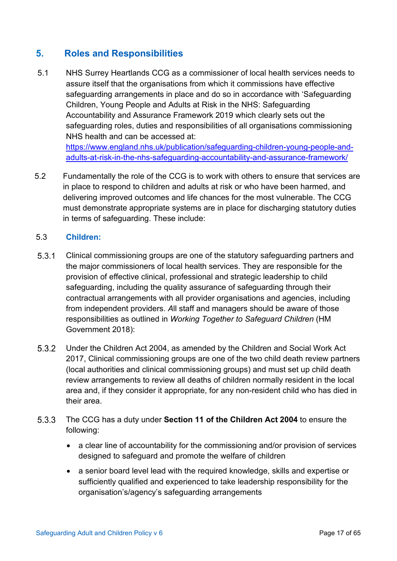# <span id="page-16-0"></span>**5. Roles and Responsibilities**

- 5.1 NHS Surrey Heartlands CCG as a commissioner of local health services needs to assure itself that the organisations from which it commissions have effective safeguarding arrangements in place and do so in accordance with 'Safeguarding Children, Young People and Adults at Risk in the NHS: Safeguarding Accountability and Assurance Framework 2019 which clearly sets out the safeguarding roles, duties and responsibilities of all organisations commissioning NHS health and can be accessed at: [https://www.england.nhs.uk/publication/safeguarding-children-young-people-and](https://www.england.nhs.uk/publication/safeguarding-children-young-people-and-adults-at-risk-in-the-nhs-safeguarding-accountability-and-assurance-framework/)[adults-at-risk-in-the-nhs-safeguarding-accountability-and-assurance-framework/](https://www.england.nhs.uk/publication/safeguarding-children-young-people-and-adults-at-risk-in-the-nhs-safeguarding-accountability-and-assurance-framework/)
- 5.2 Fundamentally the role of the CCG is to work with others to ensure that services are in place to respond to children and adults at risk or who have been harmed, and delivering improved outcomes and life chances for the most vulnerable. The CCG must demonstrate appropriate systems are in place for discharging statutory duties in terms of safeguarding. These include:

#### <span id="page-16-1"></span>5.3 **Children:**

- $5.3.1$ Clinical commissioning groups are one of the statutory safeguarding partners and the major commissioners of local health services. They are responsible for the provision of effective clinical, professional and strategic leadership to child safeguarding, including the quality assurance of safeguarding through their contractual arrangements with all provider organisations and agencies, including from independent providers. *A*ll staff and managers should be aware of those responsibilities as outlined in *Working Together to Safeguard Children* (HM Government 2018):
- $5.3.2$ Under the Children Act 2004, as amended by the Children and Social Work Act 2017, Clinical commissioning groups are one of the two child death review partners (local authorities and clinical commissioning groups) and must set up child death review arrangements to review all deaths of children normally resident in the local area and, if they consider it appropriate, for any non-resident child who has died in their area.
- $5.3.3$ The CCG has a duty under **Section 11 of the Children Act 2004** to ensure the following:
	- a clear line of accountability for the commissioning and/or provision of services designed to safeguard and promote the welfare of children
	- a senior board level lead with the required knowledge, skills and expertise or sufficiently qualified and experienced to take leadership responsibility for the organisation's/agency's safeguarding arrangements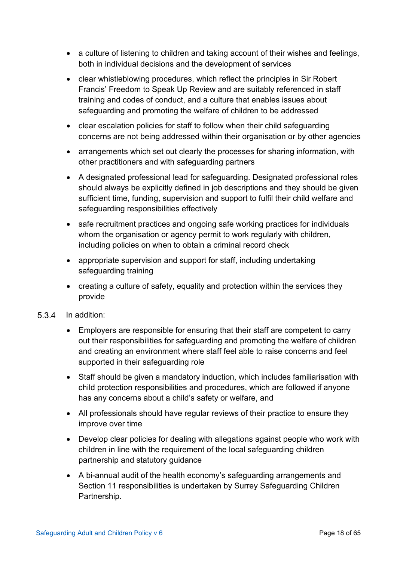- a culture of listening to children and taking account of their wishes and feelings, both in individual decisions and the development of services
- clear whistleblowing procedures, which reflect the principles in Sir Robert Francis' Freedom to Speak Up Review and are suitably referenced in staff training and codes of conduct, and a culture that enables issues about safeguarding and promoting the welfare of children to be addressed
- clear escalation policies for staff to follow when their child safeguarding concerns are not being addressed within their organisation or by other agencies
- arrangements which set out clearly the processes for sharing information, with other practitioners and with safeguarding partners
- A designated professional lead for safeguarding. Designated professional roles should always be explicitly defined in job descriptions and they should be given sufficient time, funding, supervision and support to fulfil their child welfare and safeguarding responsibilities effectively
- safe recruitment practices and ongoing safe working practices for individuals whom the organisation or agency permit to work regularly with children, including policies on when to obtain a criminal record check
- appropriate supervision and support for staff, including undertaking safeguarding training
- creating a culture of safety, equality and protection within the services they provide

#### $5.3.4$ In addition:

- Employers are responsible for ensuring that their staff are competent to carry out their responsibilities for safeguarding and promoting the welfare of children and creating an environment where staff feel able to raise concerns and feel supported in their safeguarding role
- Staff should be given a mandatory induction, which includes familiarisation with child protection responsibilities and procedures, which are followed if anyone has any concerns about a child's safety or welfare, and
- All professionals should have regular reviews of their practice to ensure they improve over time
- Develop clear policies for dealing with allegations against people who work with children in line with the requirement of the local safeguarding children partnership and statutory guidance
- A bi-annual audit of the health economy's safeguarding arrangements and Section 11 responsibilities is undertaken by Surrey Safeguarding Children Partnership.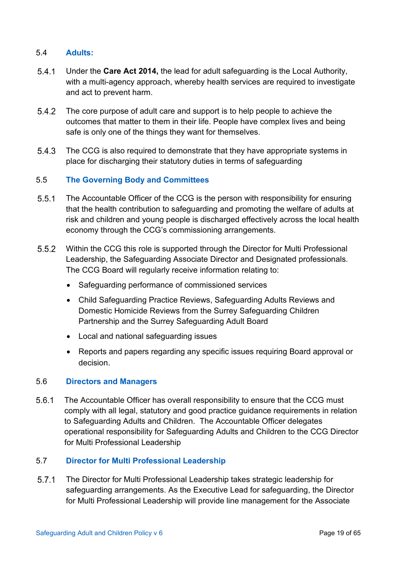#### <span id="page-18-0"></span>5.4 **Adults:**

- $5.4.1$ Under the **Care Act 2014,** the lead for adult safeguarding is the Local Authority, with a multi-agency approach, whereby health services are required to investigate and act to prevent harm.
- $5.4.2$ The core purpose of adult care and support is to help people to achieve the outcomes that matter to them in their life. People have complex lives and being safe is only one of the things they want for themselves.
- $5.4.3$ The CCG is also required to demonstrate that they have appropriate systems in place for discharging their statutory duties in terms of safeguarding

#### <span id="page-18-1"></span>5.5 **The Governing Body and Committees**

- $5.5.1$ The Accountable Officer of the CCG is the person with responsibility for ensuring that the health contribution to safeguarding and promoting the welfare of adults at risk and children and young people is discharged effectively across the local health economy through the CCG's commissioning arrangements.
- $5.5.2$ Within the CCG this role is supported through the Director for Multi Professional Leadership, the Safeguarding Associate Director and Designated professionals. The CCG Board will regularly receive information relating to:
	- Safeguarding performance of commissioned services
	- Child Safeguarding Practice Reviews, Safeguarding Adults Reviews and Domestic Homicide Reviews from the Surrey Safeguarding Children Partnership and the Surrey Safeguarding Adult Board
	- Local and national safeguarding issues
	- Reports and papers regarding any specific issues requiring Board approval or decision.

#### <span id="page-18-2"></span>5.6 **Directors and Managers**

 $5.6.1$ The Accountable Officer has overall responsibility to ensure that the CCG must comply with all legal, statutory and good practice guidance requirements in relation to Safeguarding Adults and Children. The Accountable Officer delegates operational responsibility for Safeguarding Adults and Children to the CCG Director for Multi Professional Leadership

#### <span id="page-18-3"></span>5.7 **Director for Multi Professional Leadership**

 $5.7.1$ The Director for Multi Professional Leadership takes strategic leadership for safeguarding arrangements. As the Executive Lead for safeguarding, the Director for Multi Professional Leadership will provide line management for the Associate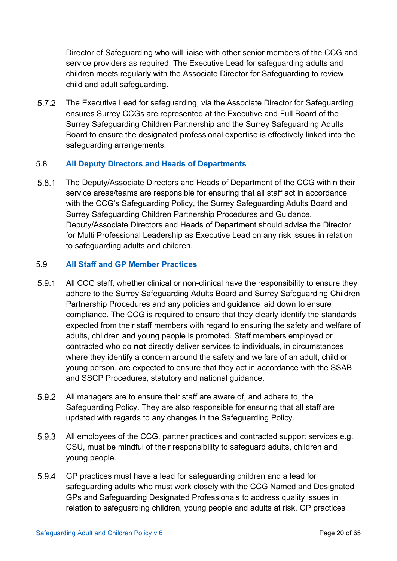Director of Safeguarding who will liaise with other senior members of the CCG and service providers as required. The Executive Lead for safeguarding adults and children meets regularly with the Associate Director for Safeguarding to review child and adult safeguarding.

 $5.7.2$ The Executive Lead for safeguarding, via the Associate Director for Safeguarding ensures Surrey CCGs are represented at the Executive and Full Board of the Surrey Safeguarding Children Partnership and the Surrey Safeguarding Adults Board to ensure the designated professional expertise is effectively linked into the safeguarding arrangements.

#### <span id="page-19-0"></span>5.8 **All Deputy Directors and Heads of Departments**

 $5.8.1$ The Deputy/Associate Directors and Heads of Department of the CCG within their service areas/teams are responsible for ensuring that all staff act in accordance with the CCG's Safeguarding Policy, the Surrey Safeguarding Adults Board and Surrey Safeguarding Children Partnership Procedures and Guidance. Deputy/Associate Directors and Heads of Department should advise the Director for Multi Professional Leadership as Executive Lead on any risk issues in relation to safeguarding adults and children.

## <span id="page-19-1"></span>5.9 **All Staff and GP Member Practices**

- $5.9.1$ All CCG staff, whether clinical or non-clinical have the responsibility to ensure they adhere to the Surrey Safeguarding Adults Board and Surrey Safeguarding Children Partnership Procedures and any policies and guidance laid down to ensure compliance. The CCG is required to ensure that they clearly identify the standards expected from their staff members with regard to ensuring the safety and welfare of adults, children and young people is promoted. Staff members employed or contracted who do **not** directly deliver services to individuals, in circumstances where they identify a concern around the safety and welfare of an adult, child or young person, are expected to ensure that they act in accordance with the SSAB and SSCP Procedures, statutory and national guidance.
- 5.9.2 All managers are to ensure their staff are aware of, and adhere to, the Safeguarding Policy. They are also responsible for ensuring that all staff are updated with regards to any changes in the Safeguarding Policy.
- 5.9.3 All employees of the CCG, partner practices and contracted support services e.g. CSU, must be mindful of their responsibility to safeguard adults, children and young people.
- 5.9.4 GP practices must have a lead for safeguarding children and a lead for safeguarding adults who must work closely with the CCG Named and Designated GPs and Safeguarding Designated Professionals to address quality issues in relation to safeguarding children, young people and adults at risk. GP practices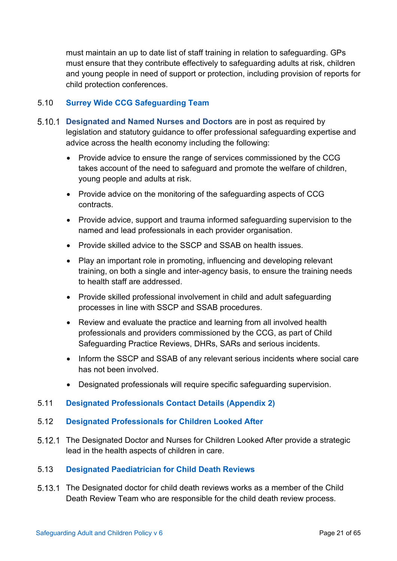must maintain an up to date list of staff training in relation to safeguarding. GPs must ensure that they contribute effectively to safeguarding adults at risk, children and young people in need of support or protection, including provision of reports for child protection conferences.

#### <span id="page-20-0"></span>5.10 **Surrey Wide CCG Safeguarding Team**

- **Designated and Named Nurses and Doctors** are in post as required by legislation and statutory guidance to offer professional safeguarding expertise and advice across the health economy including the following:
	- Provide advice to ensure the range of services commissioned by the CCG takes account of the need to safeguard and promote the welfare of children, young people and adults at risk.
	- Provide advice on the monitoring of the safeguarding aspects of CCG contracts.
	- Provide advice, support and trauma informed safeguarding supervision to the named and lead professionals in each provider organisation.
	- Provide skilled advice to the SSCP and SSAB on health issues
	- Play an important role in promoting, influencing and developing relevant training, on both a single and inter-agency basis, to ensure the training needs to health staff are addressed.
	- Provide skilled professional involvement in child and adult safeguarding processes in line with SSCP and SSAB procedures.
	- Review and evaluate the practice and learning from all involved health professionals and providers commissioned by the CCG, as part of Child Safeguarding Practice Reviews, DHRs, SARs and serious incidents.
	- Inform the SSCP and SSAB of any relevant serious incidents where social care has not been involved.
	- Designated professionals will require specific safeguarding supervision.

#### <span id="page-20-1"></span>5.11 **Designated Professionals Contact Details (Appendix 2)**

#### <span id="page-20-2"></span>5.12 **Designated Professionals for Children Looked After**

5.12.1 The Designated Doctor and Nurses for Children Looked After provide a strategic lead in the health aspects of children in care.

#### <span id="page-20-3"></span>5.13 **Designated Paediatrician for Child Death Reviews**

5.13.1 The Designated doctor for child death reviews works as a member of the Child Death Review Team who are responsible for the child death review process.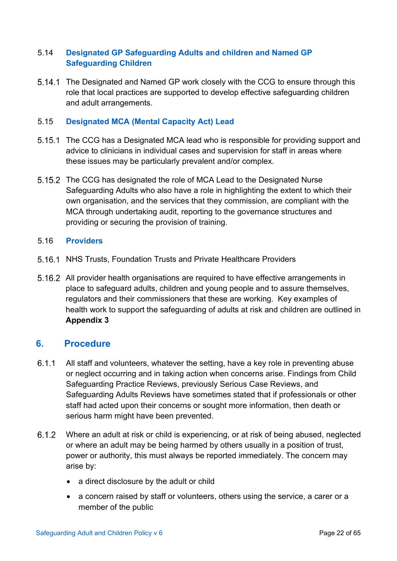#### <span id="page-21-0"></span>5.14 **Designated GP Safeguarding Adults and children and Named GP Safeguarding Children**

5.14.1 The Designated and Named GP work closely with the CCG to ensure through this role that local practices are supported to develop effective safeguarding children and adult arrangements.

#### <span id="page-21-1"></span>5.15 **Designated MCA (Mental Capacity Act) Lead**

- 5.15.1 The CCG has a Designated MCA lead who is responsible for providing support and advice to clinicians in individual cases and supervision for staff in areas where these issues may be particularly prevalent and/or complex.
- 5.15.2 The CCG has designated the role of MCA Lead to the Designated Nurse Safeguarding Adults who also have a role in highlighting the extent to which their own organisation, and the services that they commission, are compliant with the MCA through undertaking audit, reporting to the governance structures and providing or securing the provision of training.

#### <span id="page-21-2"></span>5.16 **Providers**

- 5.16.1 NHS Trusts, Foundation Trusts and Private Healthcare Providers
- 5.16.2 All provider health organisations are required to have effective arrangements in place to safeguard adults, children and young people and to assure themselves, regulators and their commissioners that these are working. Key examples of health work to support the safeguarding of adults at risk and children are outlined in **Appendix 3**

#### <span id="page-21-3"></span>**6. Procedure**

- 611 All staff and volunteers, whatever the setting, have a key role in preventing abuse or neglect occurring and in taking action when concerns arise. Findings from Child Safeguarding Practice Reviews, previously Serious Case Reviews, and Safeguarding Adults Reviews have sometimes stated that if professionals or other staff had acted upon their concerns or sought more information, then death or serious harm might have been prevented.
- $6.1.2$ Where an adult at risk or child is experiencing, or at risk of being abused, neglected or where an adult may be being harmed by others usually in a position of trust, power or authority, this must always be reported immediately. The concern may arise by:
	- a direct disclosure by the adult or child
	- a concern raised by staff or volunteers, others using the service, a carer or a member of the public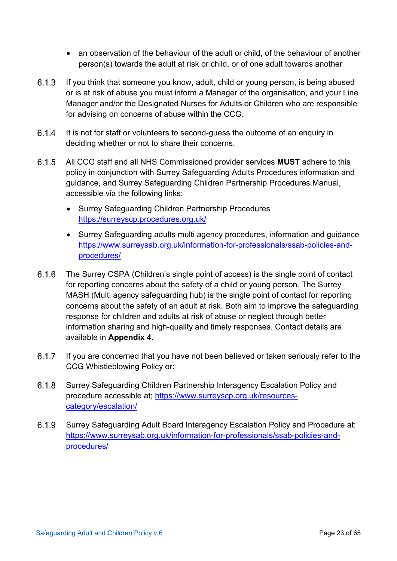- an observation of the behaviour of the adult or child, of the behaviour of another person(s) towards the adult at risk or child, or of one adult towards another
- $6.1.3$ If you think that someone you know, adult, child or young person, is being abused or is at risk of abuse you must inform a Manager of the organisation, and your Line Manager and/or the Designated Nurses for Adults or Children who are responsible for advising on concerns of abuse within the CCG.
- $6.1.4$ It is not for staff or volunteers to second-guess the outcome of an enquiry in deciding whether or not to share their concerns.
- $6.1.5$ All CCG staff and all NHS Commissioned provider services **MUST** adhere to this policy in conjunction with Surrey Safeguarding Adults Procedures information and guidance, and Surrey Safeguarding Children Partnership Procedures Manual, accessible via the following links:
	- Surrey Safeguarding Children Partnership Procedures <https://surreyscp.procedures.org.uk/>
	- [Surrey Safeguarding adults multi agency procedures, information and guidance](https://www.surreycc.gov.uk/social-care-and-health/safeguarding-boards/surrey-safeguarding-adults-board/surrey-safeguarding-adults-board-information-for-professionals/surrey-safeguarding-adults-multi-agency-procedures-information-and-guidance) [https://www.surreysab.org.uk/information-for-professionals/ssab-policies-and](https://www.surreysab.org.uk/information-for-professionals/ssab-policies-and-procedures/)[procedures/](https://www.surreysab.org.uk/information-for-professionals/ssab-policies-and-procedures/)
- $6.1.6$ The Surrey CSPA (Children's single point of access) is the single point of contact for reporting concerns about the safety of a child or young person. The Surrey MASH (Multi agency safeguarding hub) is the single point of contact for reporting concerns about the safety of an adult at risk. Both aim to improve the safeguarding response for children and adults at risk of abuse or neglect through better information sharing and high-quality and timely responses. Contact details are available in **Appendix 4.**
- $6.1.7$ If you are concerned that you have not been believed or taken seriously refer to the CCG Whistleblowing Policy or:
- $6.1.8$ Surrey Safeguarding Children Partnership Interagency Escalation Policy and procedure accessible at; [https://www.surreyscp.org.uk/resources](https://www.surreyscp.org.uk/resources-category/escalation/)[category/escalation/](https://www.surreyscp.org.uk/resources-category/escalation/)
- 6.1.9 Surrey Safeguarding Adult Board Interagency Escalation Policy and Procedure at: [https://www.surreysab.org.uk/information-for-professionals/ssab-policies-and](https://www.surreysab.org.uk/information-for-professionals/ssab-policies-and-procedures/)[procedures/](https://www.surreysab.org.uk/information-for-professionals/ssab-policies-and-procedures/)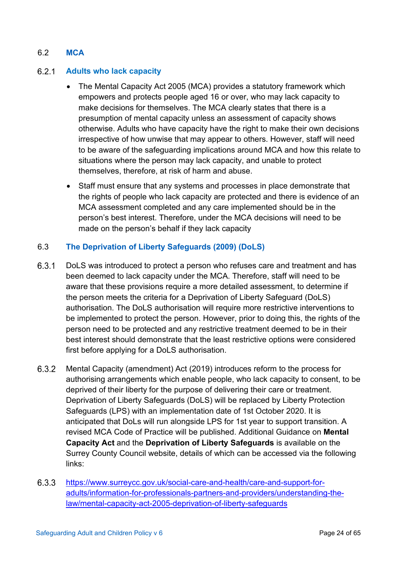## <span id="page-23-0"></span>6.2 **MCA**

#### 621 **Adults who lack capacity**

- The Mental Capacity Act 2005 (MCA) provides a statutory framework which empowers and protects people aged 16 or over, who may lack capacity to make decisions for themselves. The MCA clearly states that there is a presumption of mental capacity unless an assessment of capacity shows otherwise. Adults who have capacity have the right to make their own decisions irrespective of how unwise that may appear to others. However, staff will need to be aware of the safeguarding implications around MCA and how this relate to situations where the person may lack capacity, and unable to protect themselves, therefore, at risk of harm and abuse.
- Staff must ensure that any systems and processes in place demonstrate that the rights of people who lack capacity are protected and there is evidence of an MCA assessment completed and any care implemented should be in the person's best interest. Therefore, under the MCA decisions will need to be made on the person's behalf if they lack capacity

#### <span id="page-23-1"></span>6.3 **The Deprivation of Liberty Safeguards (2009) (DoLS)**

- 6.3.1 DoLS was introduced to protect a person who refuses care and treatment and has been deemed to lack capacity under the MCA. Therefore, staff will need to be aware that these provisions require a more detailed assessment, to determine if the person meets the criteria for a Deprivation of Liberty Safeguard (DoLS) authorisation. The DoLS authorisation will require more restrictive interventions to be implemented to protect the person. However, prior to doing this, the rights of the person need to be protected and any restrictive treatment deemed to be in their best interest should demonstrate that the least restrictive options were considered first before applying for a DoLS authorisation.
- 6.3.2 Mental Capacity (amendment) Act (2019) introduces reform to the process for authorising arrangements which enable people, who lack capacity to consent, to be deprived of their liberty for the purpose of delivering their care or treatment. Deprivation of Liberty Safeguards (DoLS) will be replaced by Liberty Protection Safeguards (LPS) with an implementation date of 1st October 2020. It is anticipated that DoLs will run alongside LPS for 1st year to support transition. A revised MCA Code of Practice will be published. Additional Guidance on **Mental Capacity Act** and the **Deprivation of Liberty Safeguards** is available on the Surrey County Council website, details of which can be accessed via the following links:
- 6.3.3 [https://www.surreycc.gov.uk/social-care-and-health/care-and-support-for](https://www.surreycc.gov.uk/social-care-and-health/care-and-support-for-adults/information-for-professionals-partners-and-providers/understanding-the-law/mental-capacity-act-2005-deprivation-of-liberty-safeguards)[adults/information-for-professionals-partners-and-providers/understanding-the](https://www.surreycc.gov.uk/social-care-and-health/care-and-support-for-adults/information-for-professionals-partners-and-providers/understanding-the-law/mental-capacity-act-2005-deprivation-of-liberty-safeguards)[law/mental-capacity-act-2005-deprivation-of-liberty-safeguards](https://www.surreycc.gov.uk/social-care-and-health/care-and-support-for-adults/information-for-professionals-partners-and-providers/understanding-the-law/mental-capacity-act-2005-deprivation-of-liberty-safeguards)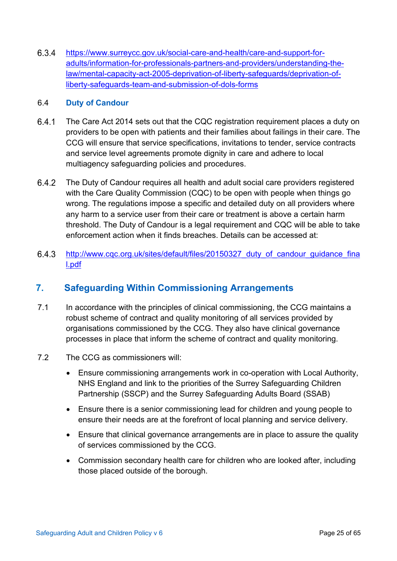[https://www.surreycc.gov.uk/social-care-and-health/care-and-support-for-](https://www.surreycc.gov.uk/social-care-and-health/care-and-support-for-adults/information-for-professionals-partners-and-providers/understanding-the-law/mental-capacity-act-2005-deprivation-of-liberty-safeguards/deprivation-of-liberty-safeguards-team-and-submission-of-dols-forms)6.3.4 [adults/information-for-professionals-partners-and-providers/understanding-the](https://www.surreycc.gov.uk/social-care-and-health/care-and-support-for-adults/information-for-professionals-partners-and-providers/understanding-the-law/mental-capacity-act-2005-deprivation-of-liberty-safeguards/deprivation-of-liberty-safeguards-team-and-submission-of-dols-forms)[law/mental-capacity-act-2005-deprivation-of-liberty-safeguards/deprivation-of](https://www.surreycc.gov.uk/social-care-and-health/care-and-support-for-adults/information-for-professionals-partners-and-providers/understanding-the-law/mental-capacity-act-2005-deprivation-of-liberty-safeguards/deprivation-of-liberty-safeguards-team-and-submission-of-dols-forms)[liberty-safeguards-team-and-submission-of-dols-forms](https://www.surreycc.gov.uk/social-care-and-health/care-and-support-for-adults/information-for-professionals-partners-and-providers/understanding-the-law/mental-capacity-act-2005-deprivation-of-liberty-safeguards/deprivation-of-liberty-safeguards-team-and-submission-of-dols-forms)

#### <span id="page-24-0"></span>6.4 **Duty of Candour**

- 641 The Care Act 2014 sets out that the CQC registration requirement places a duty on providers to be open with patients and their families about failings in their care. The CCG will ensure that service specifications, invitations to tender, service contracts and service level agreements promote dignity in care and adhere to local multiagency safeguarding policies and procedures.
- $6.4.2$ The Duty of Candour requires all health and adult social care providers registered with the Care Quality Commission (CQC) to be open with people when things go wrong. The regulations impose a specific and detailed duty on all providers where any harm to a service user from their care or treatment is above a certain harm threshold. The Duty of Candour is a legal requirement and CQC will be able to take enforcement action when it finds breaches. Details can be accessed at:
- 6.4.3 http://www.cqc.org.uk/sites/default/files/20150327 duty of candour quidance fina [l.pdf](http://www.cqc.org.uk/sites/default/files/20150327_duty_of_candour_guidance_final.pdf)

# <span id="page-24-1"></span>**7. Safeguarding Within Commissioning Arrangements**

- 7.1 In accordance with the principles of clinical commissioning, the CCG maintains a robust scheme of contract and quality monitoring of all services provided by organisations commissioned by the CCG. They also have clinical governance processes in place that inform the scheme of contract and quality monitoring.
- 7.2 The CCG as commissioners will:
	- Ensure commissioning arrangements work in co-operation with Local Authority, NHS England and link to the priorities of the Surrey Safeguarding Children Partnership (SSCP) and the Surrey Safeguarding Adults Board (SSAB)
	- Ensure there is a senior commissioning lead for children and young people to ensure their needs are at the forefront of local planning and service delivery.
	- Ensure that clinical governance arrangements are in place to assure the quality of services commissioned by the CCG.
	- Commission secondary health care for children who are looked after, including those placed outside of the borough.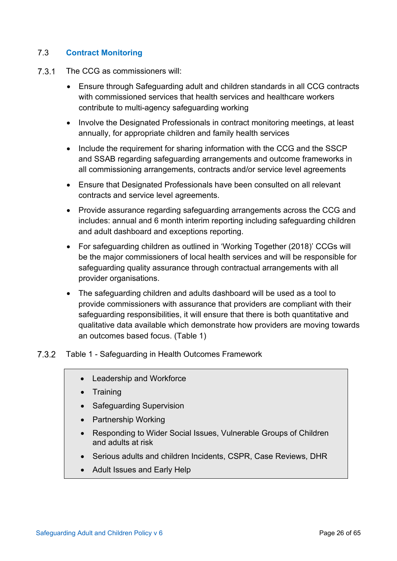#### <span id="page-25-0"></span>7.3 **Contract Monitoring**

- 731 The CCG as commissioners will:
	- Ensure through Safeguarding adult and children standards in all CCG contracts with commissioned services that health services and healthcare workers contribute to multi-agency safeguarding working
	- Involve the Designated Professionals in contract monitoring meetings, at least annually, for appropriate children and family health services
	- Include the requirement for sharing information with the CCG and the SSCP and SSAB regarding safeguarding arrangements and outcome frameworks in all commissioning arrangements, contracts and/or service level agreements
	- Ensure that Designated Professionals have been consulted on all relevant contracts and service level agreements.
	- Provide assurance regarding safeguarding arrangements across the CCG and includes: annual and 6 month interim reporting including safeguarding children and adult dashboard and exceptions reporting.
	- For safeguarding children as outlined in 'Working Together (2018)' CCGs will be the major commissioners of local health services and will be responsible for safeguarding quality assurance through contractual arrangements with all provider organisations.
	- The safeguarding children and adults dashboard will be used as a tool to provide commissioners with assurance that providers are compliant with their safeguarding responsibilities, it will ensure that there is both quantitative and qualitative data available which demonstrate how providers are moving towards an outcomes based focus. (Table 1)
- $7.3.2$ Table 1 - Safeguarding in Health Outcomes Framework
	- Leadership and Workforce
	- Training
	- Safeguarding Supervision
	- Partnership Working
	- Responding to Wider Social Issues, Vulnerable Groups of Children and adults at risk
	- Serious adults and children Incidents, CSPR, Case Reviews, DHR
	- Adult Issues and Early Help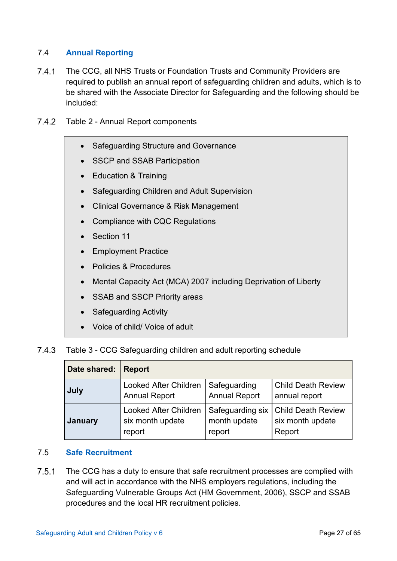## <span id="page-26-0"></span>7.4 **Annual Reporting**

- $7.4.1$ The CCG, all NHS Trusts or Foundation Trusts and Community Providers are required to publish an annual report of safeguarding children and adults, which is to be shared with the Associate Director for Safeguarding and the following should be included:
- 742 Table 2 - Annual Report components
	- Safeguarding Structure and Governance
	- SSCP and SSAB Participation
	- Education & Training
	- Safeguarding Children and Adult Supervision
	- Clinical Governance & Risk Management
	- Compliance with CQC Regulations
	- Section 11
	- Employment Practice
	- Policies & Procedures
	- Mental Capacity Act (MCA) 2007 including Deprivation of Liberty
	- SSAB and SSCP Priority areas
	- Safeguarding Activity
	- Voice of child/ Voice of adult

#### $7.4.3$ Table 3 - CCG Safeguarding children and adult reporting schedule

| Date shared: | <b>Report</b>                                              |                                      |                                                                     |
|--------------|------------------------------------------------------------|--------------------------------------|---------------------------------------------------------------------|
| July         | Looked After Children<br><b>Annual Report</b>              | Safeguarding<br><b>Annual Report</b> | <b>Child Death Review</b><br>annual report                          |
| January      | <b>Looked After Children</b><br>six month update<br>report | month update<br>report               | Safeguarding six   Child Death Review<br>six month update<br>Report |

#### <span id="page-26-1"></span>7.5 **Safe Recruitment**

 $7.5.1$ The CCG has a duty to ensure that safe recruitment processes are complied with and will act in accordance with the NHS employers regulations, including the Safeguarding Vulnerable Groups Act (HM Government, 2006), SSCP and SSAB procedures and the local HR recruitment policies.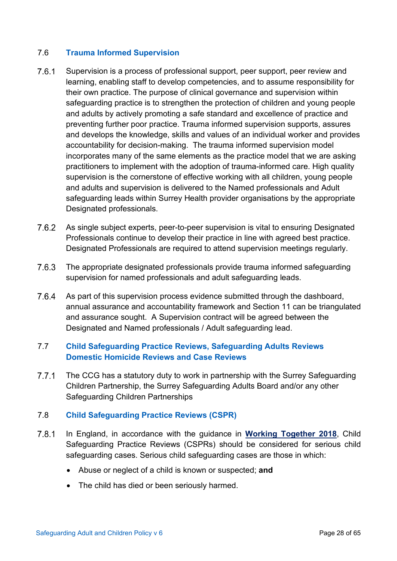#### <span id="page-27-0"></span>7.6 **Trauma Informed Supervision**

- $7.6.1$ Supervision is a process of professional support, peer support, peer review and learning, enabling staff to develop competencies, and to assume responsibility for their own practice. The purpose of clinical governance and supervision within safeguarding practice is to strengthen the protection of children and young people and adults by actively promoting a safe standard and excellence of practice and preventing further poor practice. Trauma informed supervision supports, assures and develops the knowledge, skills and values of an individual worker and provides accountability for decision-making. The trauma informed supervision model incorporates many of the same elements as the practice model that we are asking practitioners to implement with the adoption of trauma-informed care. High quality supervision is the cornerstone of effective working with all children, young people and adults and supervision is delivered to the Named professionals and Adult safeguarding leads within Surrey Health provider organisations by the appropriate Designated professionals.
- $7.6.2$ As single subject experts, peer-to-peer supervision is vital to ensuring Designated Professionals continue to develop their practice in line with agreed best practice. Designated Professionals are required to attend supervision meetings regularly.
- 7.6.3 The appropriate designated professionals provide trauma informed safeguarding supervision for named professionals and adult safeguarding leads.
- 7.6.4 As part of this supervision process evidence submitted through the dashboard, annual assurance and accountability framework and Section 11 can be triangulated and assurance sought. A Supervision contract will be agreed between the Designated and Named professionals / Adult safeguarding lead.

#### <span id="page-27-1"></span>7.7 **Child Safeguarding Practice Reviews, Safeguarding Adults Reviews Domestic Homicide Reviews and Case Reviews**

 $7.7.1$ The CCG has a statutory duty to work in partnership with the Surrey Safeguarding Children Partnership, the Surrey Safeguarding Adults Board and/or any other Safeguarding Children Partnerships

#### <span id="page-27-2"></span>7.8 **Child Safeguarding Practice Reviews (CSPR)**

- $7.8.1$ In England, in accordance with the guidance in **[Working Together 2018](https://www.gov.uk/government/publications/working-together-to-safeguard-children--2)**, Child Safeguarding Practice Reviews (CSPRs) should be considered for serious child safeguarding cases. Serious child safeguarding cases are those in which:
	- Abuse or neglect of a child is known or suspected; **and**
	- The child has died or been seriously harmed.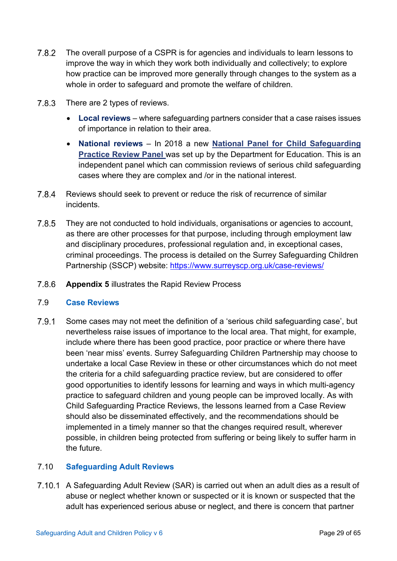- $7.8.2$ The overall purpose of a CSPR is for agencies and individuals to learn lessons to improve the way in which they work both individually and collectively; to explore how practice can be improved more generally through changes to the system as a whole in order to safeguard and promote the welfare of children.
- 7.8.3 There are 2 types of reviews.
	- **Local reviews** where safeguarding partners consider that a case raises issues of importance in relation to their area.
	- **National reviews** In 2018 a new **[National Panel for Child Safeguarding](https://www.gov.uk/government/organisations/child-safeguarding-practice-review-panel)  [Practice Review Panel](https://www.gov.uk/government/organisations/child-safeguarding-practice-review-panel)** was set up by the Department for Education. This is an independent panel which can commission reviews of serious child safeguarding cases where they are complex and /or in the national interest.
- 7.8.4 Reviews should seek to prevent or reduce the risk of recurrence of similar incidents.
- $7.8.5$ They are not conducted to hold individuals, organisations or agencies to account, as there are other processes for that purpose, including through employment law and disciplinary procedures, professional regulation and, in exceptional cases, criminal proceedings. The process is detailed on the Surrey Safeguarding Children Partnership (SSCP) website:<https://www.surreyscp.org.uk/case-reviews/>
- 7.8.6 **Appendix 5** illustrates the Rapid Review Process

#### <span id="page-28-0"></span>7.9 **Case Reviews**

 $7.9.1$ Some cases may not meet the definition of a 'serious child safeguarding case', but nevertheless raise issues of importance to the local area. That might, for example, include where there has been good practice, poor practice or where there have been 'near miss' events. Surrey Safeguarding Children Partnership may choose to undertake a local Case Review in these or other circumstances which do not meet the criteria for a child safeguarding practice review, but are considered to offer good opportunities to identify lessons for learning and ways in which multi-agency practice to safeguard children and young people can be improved locally. As with Child Safeguarding Practice Reviews, the lessons learned from a Case Review should also be disseminated effectively, and the recommendations should be implemented in a timely manner so that the changes required result, wherever possible, in children being protected from suffering or being likely to suffer harm in the future.

#### <span id="page-28-1"></span>7.10 **Safeguarding Adult Reviews**

A Safeguarding Adult Review (SAR) is carried out when an adult dies as a result of abuse or neglect whether known or suspected or it is known or suspected that the adult has experienced serious abuse or neglect, and there is concern that partner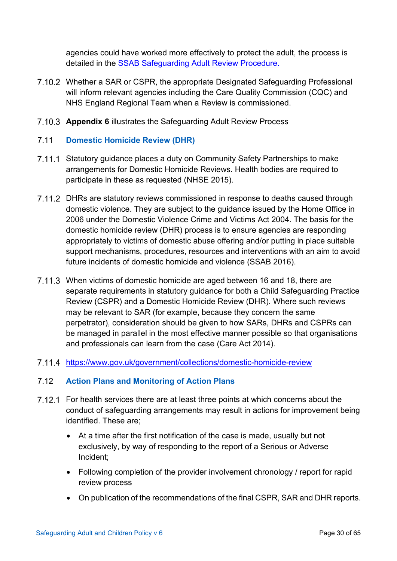agencies could have worked more effectively to protect the adult, the process is detailed in the [SSAB Safeguarding Adult Review Procedure.](https://www.surreysab.org.uk/wp-content/uploads/2019/04/Safeguarding-Adult-Review-Procedure-April-2019v1.1.pdf)

- 7.10.2 Whether a SAR or CSPR, the appropriate Designated Safeguarding Professional will inform relevant agencies including the Care Quality Commission (CQC) and NHS England Regional Team when a Review is commissioned.
- **Appendix 6** illustrates the Safeguarding Adult Review Process

#### <span id="page-29-0"></span>7.11 **Domestic Homicide Review (DHR)**

- 7.11.1 Statutory guidance places a duty on Community Safety Partnerships to make arrangements for Domestic Homicide Reviews. Health bodies are required to participate in these as requested (NHSE 2015).
- DHRs are statutory reviews commissioned in response to deaths caused through domestic violence. They are subject to the guidance issued by the Home Office in 2006 under the Domestic Violence Crime and Victims Act 2004. The basis for the domestic homicide review (DHR) process is to ensure agencies are responding appropriately to victims of domestic abuse offering and/or putting in place suitable support mechanisms, procedures, resources and interventions with an aim to avoid future incidents of domestic homicide and violence (SSAB 2016).
- 7.11.3 When victims of domestic homicide are aged between 16 and 18, there are separate requirements in statutory guidance for both a Child Safeguarding Practice Review (CSPR) and a Domestic Homicide Review (DHR). Where such reviews may be relevant to SAR (for example, because they concern the same perpetrator), consideration should be given to how SARs, DHRs and CSPRs can be managed in parallel in the most effective manner possible so that organisations and professionals can learn from the case (Care Act 2014).
- <https://www.gov.uk/government/collections/domestic-homicide-review>

#### <span id="page-29-1"></span>7.12 **Action Plans and Monitoring of Action Plans**

- For health services there are at least three points at which concerns about the conduct of safeguarding arrangements may result in actions for improvement being identified. These are;
	- At a time after the first notification of the case is made, usually but not exclusively, by way of responding to the report of a Serious or Adverse Incident;
	- Following completion of the provider involvement chronology / report for rapid review process
	- On publication of the recommendations of the final CSPR, SAR and DHR reports.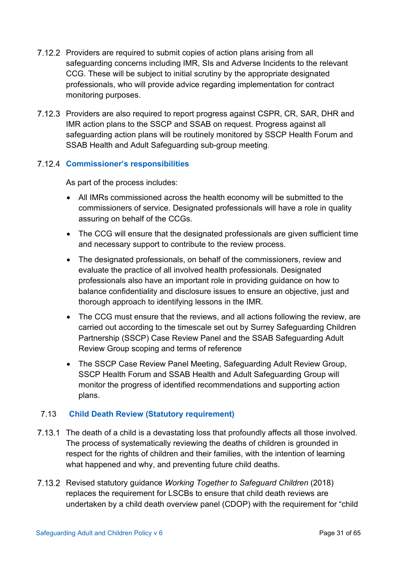- 7.12.2 Providers are required to submit copies of action plans arising from all safeguarding concerns including IMR, SIs and Adverse Incidents to the relevant CCG. These will be subject to initial scrutiny by the appropriate designated professionals, who will provide advice regarding implementation for contract monitoring purposes.
- 7.12.3 Providers are also required to report progress against CSPR, CR, SAR, DHR and IMR action plans to the SSCP and SSAB on request. Progress against all safeguarding action plans will be routinely monitored by SSCP Health Forum and SSAB Health and Adult Safeguarding sub-group meeting.

#### **Commissioner's responsibilities**

As part of the process includes:

- All IMRs commissioned across the health economy will be submitted to the commissioners of service. Designated professionals will have a role in quality assuring on behalf of the CCGs.
- The CCG will ensure that the designated professionals are given sufficient time and necessary support to contribute to the review process.
- The designated professionals, on behalf of the commissioners, review and evaluate the practice of all involved health professionals. Designated professionals also have an important role in providing guidance on how to balance confidentiality and disclosure issues to ensure an objective, just and thorough approach to identifying lessons in the IMR.
- The CCG must ensure that the reviews, and all actions following the review, are carried out according to the timescale set out by Surrey Safeguarding Children Partnership (SSCP) Case Review Panel and the SSAB Safeguarding Adult Review Group scoping and terms of reference
- The SSCP Case Review Panel Meeting, Safeguarding Adult Review Group, SSCP Health Forum and SSAB Health and Adult Safeguarding Group will monitor the progress of identified recommendations and supporting action plans.

#### <span id="page-30-0"></span>7.13 **Child Death Review (Statutory requirement)**

- 7.13.1 The death of a child is a devastating loss that profoundly affects all those involved. The process of systematically reviewing the deaths of children is grounded in respect for the rights of children and their families, with the intention of learning what happened and why, and preventing future child deaths.
- Revised statutory guidance *Working Together to Safeguard Children* (2018) replaces the requirement for LSCBs to ensure that child death reviews are undertaken by a child death overview panel (CDOP) with the requirement for "child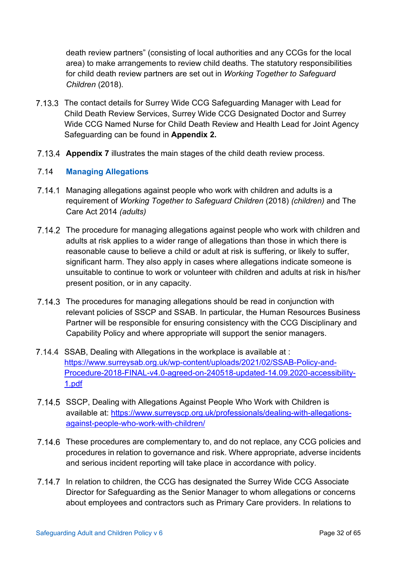death review partners" (consisting of local authorities and any CCGs for the local area) to make arrangements to review child deaths. The statutory responsibilities for child death review partners are set out in *Working Together to Safeguard Children* (2018).

- 7.13.3 The contact details for Surrey Wide CCG Safeguarding Manager with Lead for Child Death Review Services, Surrey Wide CCG Designated Doctor and Surrey Wide CCG Named Nurse for Child Death Review and Health Lead for Joint Agency Safeguarding can be found in **Appendix 2.**
- **Appendix 7** illustrates the main stages of the child death review process.

#### <span id="page-31-0"></span>7.14 **Managing Allegations**

- 7.14.1 Managing allegations against people who work with children and adults is a requirement of *Working Together to Safeguard Children* (2018) *(children)* and The Care Act 2014 *(adults)*
- The procedure for managing allegations against people who work with children and adults at risk applies to a wider range of allegations than those in which there is reasonable cause to believe a child or adult at risk is suffering, or likely to suffer, significant harm. They also apply in cases where allegations indicate someone is unsuitable to continue to work or volunteer with children and adults at risk in his/her present position, or in any capacity.
- 7.14.3 The procedures for managing allegations should be read in conjunction with relevant policies of SSCP and SSAB. In particular, the Human Resources Business Partner will be responsible for ensuring consistency with the CCG Disciplinary and Capability Policy and where appropriate will support the senior managers.
- 7.14.4 SSAB, Dealing with Allegations in the workplace is available at : [https://www.surreysab.org.uk/wp-content/uploads/2021/02/SSAB-Policy-and-](https://www.surreysab.org.uk/wp-content/uploads/2021/02/SSAB-Policy-and-Procedure-2018-FINAL-v4.0-agreed-on-240518-updated-14.09.2020-accessibility-1.pdf)[Procedure-2018-FINAL-v4.0-agreed-on-240518-updated-14.09.2020-accessibility-](https://www.surreysab.org.uk/wp-content/uploads/2021/02/SSAB-Policy-and-Procedure-2018-FINAL-v4.0-agreed-on-240518-updated-14.09.2020-accessibility-1.pdf)[1.pdf](https://www.surreysab.org.uk/wp-content/uploads/2021/02/SSAB-Policy-and-Procedure-2018-FINAL-v4.0-agreed-on-240518-updated-14.09.2020-accessibility-1.pdf)
- 7.14.5 SSCP, Dealing with Allegations Against People Who Work with Children is available at: [https://www.surreyscp.org.uk/professionals/dealing-with-allegations](https://www.surreyscp.org.uk/professionals/dealing-with-allegations-against-people-who-work-with-children/)[against-people-who-work-with-children/](https://www.surreyscp.org.uk/professionals/dealing-with-allegations-against-people-who-work-with-children/)
- 7.14.6 These procedures are complementary to, and do not replace, any CCG policies and procedures in relation to governance and risk. Where appropriate, adverse incidents and serious incident reporting will take place in accordance with policy.
- 7.14.7 In relation to children, the CCG has designated the Surrey Wide CCG Associate Director for Safeguarding as the Senior Manager to whom allegations or concerns about employees and contractors such as Primary Care providers. In relations to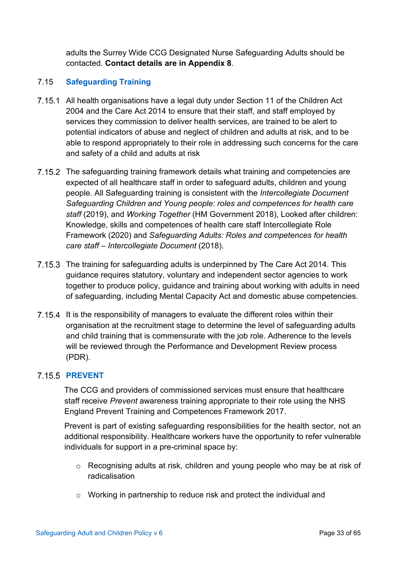adults the Surrey Wide CCG Designated Nurse Safeguarding Adults should be contacted. **Contact details are in Appendix 8**.

#### <span id="page-32-0"></span>7.15 **Safeguarding Training**

- 7.15.1 All health organisations have a legal duty under Section 11 of the Children Act 2004 and the Care Act 2014 to ensure that their staff, and staff employed by services they commission to deliver health services, are trained to be alert to potential indicators of abuse and neglect of children and adults at risk, and to be able to respond appropriately to their role in addressing such concerns for the care and safety of a child and adults at risk
- 7.15.2 The safeguarding training framework details what training and competencies are expected of all healthcare staff in order to safeguard adults, children and young people. All Safeguarding training is consistent with the *Intercollegiate Document Safeguarding Children and Young people: roles and competences for health care staff* (2019), and *Working Together* (HM Government 2018), Looked after children: Knowledge, skills and competences of health care staff Intercollegiate Role Framework (2020) and *Safeguarding Adults: Roles and competences for health care staff – Intercollegiate Document* (2018).
- 7.15.3 The training for safeguarding adults is underpinned by The Care Act 2014. This guidance requires statutory, voluntary and independent sector agencies to work together to produce policy, guidance and training about working with adults in need of safeguarding, including Mental Capacity Act and domestic abuse competencies.
- 7.15.4 It is the responsibility of managers to evaluate the different roles within their organisation at the recruitment stage to determine the level of safeguarding adults and child training that is commensurate with the job role. Adherence to the levels will be reviewed through the Performance and Development Review process (PDR).

## **7.15.5 PREVENT**

The CCG and providers of commissioned services must ensure that healthcare staff receive *Prevent* awareness training appropriate to their role using the NHS England Prevent Training and Competences Framework 2017.

Prevent is part of existing safeguarding responsibilities for the health sector, not an additional responsibility. Healthcare workers have the opportunity to refer vulnerable individuals for support in a pre-criminal space by:

- o Recognising adults at risk, children and young people who may be at risk of radicalisation
- o Working in partnership to reduce risk and protect the individual and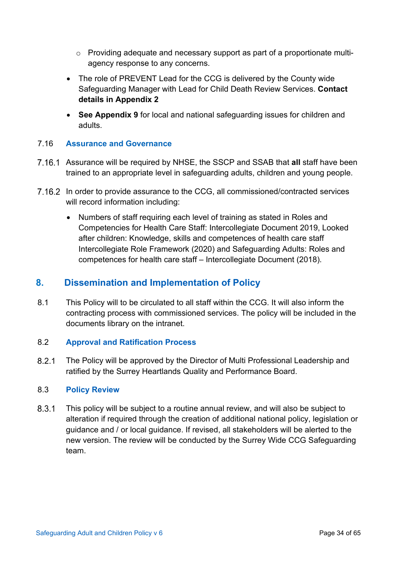- o Providing adequate and necessary support as part of a proportionate multiagency response to any concerns.
- The role of PREVENT Lead for the CCG is delivered by the County wide Safeguarding Manager with Lead for Child Death Review Services. **Contact details in Appendix 2**
- **See Appendix 9** for local and national safeguarding issues for children and adults.

#### <span id="page-33-0"></span>7.16 **Assurance and Governance**

- Assurance will be required by NHSE, the SSCP and SSAB that **all** staff have been trained to an appropriate level in safeguarding adults, children and young people.
- 7.16.2 In order to provide assurance to the CCG, all commissioned/contracted services will record information including:
	- Numbers of staff requiring each level of training as stated in Roles and Competencies for Health Care Staff: Intercollegiate Document 2019, Looked after children: Knowledge, skills and competences of health care staff Intercollegiate Role Framework (2020) and Safeguarding Adults: Roles and competences for health care staff – Intercollegiate Document (2018).

# <span id="page-33-1"></span>**8. Dissemination and Implementation of Policy**

8.1 This Policy will to be circulated to all staff within the CCG. It will also inform the contracting process with commissioned services. The policy will be included in the documents library on the intranet.

#### <span id="page-33-2"></span>8.2 **Approval and Ratification Process**

 $8.2.1$ The Policy will be approved by the Director of Multi Professional Leadership and ratified by the Surrey Heartlands Quality and Performance Board.

#### <span id="page-33-3"></span>8.3 **Policy Review**

This policy will be subject to a routine annual review, and will also be subject to 8.3.1 alteration if required through the creation of additional national policy, legislation or guidance and / or local guidance. If revised, all stakeholders will be alerted to the new version. The review will be conducted by the Surrey Wide CCG Safeguarding team.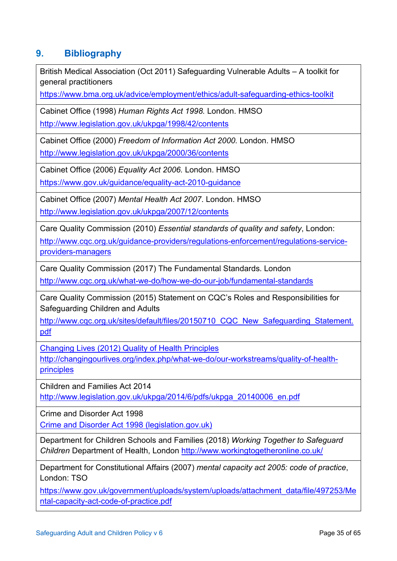# <span id="page-34-0"></span>**9. Bibliography**

British Medical Association (Oct 2011) Safeguarding Vulnerable Adults – A toolkit for general practitioners

<https://www.bma.org.uk/advice/employment/ethics/adult-safeguarding-ethics-toolkit>

Cabinet Office (1998) *Human Rights Act 1998.* London. HMSO

<http://www.legislation.gov.uk/ukpga/1998/42/contents>

Cabinet Office (2000) *Freedom of Information Act 2000.* London. HMSO

<http://www.legislation.gov.uk/ukpga/2000/36/contents>

Cabinet Office (2006) *Equality Act 2006.* London. HMSO

<https://www.gov.uk/guidance/equality-act-2010-guidance>

Cabinet Office (2007) *Mental Health Act 2007*. London. HMSO

<http://www.legislation.gov.uk/ukpga/2007/12/contents>

Care Quality Commission (2010) *Essential standards of quality and safety*, London: [http://www.cqc.org.uk/guidance-providers/regulations-enforcement/regulations-service](http://www.cqc.org.uk/guidance-providers/regulations-enforcement/regulations-service-providers-managers)[providers-managers](http://www.cqc.org.uk/guidance-providers/regulations-enforcement/regulations-service-providers-managers)

Care Quality Commission (2017) The Fundamental Standards. London

<http://www.cqc.org.uk/what-we-do/how-we-do-our-job/fundamental-standards>

Care Quality Commission (2015) Statement on CQC's Roles and Responsibilities for Safeguarding Children and Adults

[http://www.cqc.org.uk/sites/default/files/20150710\\_CQC\\_New\\_Safeguarding\\_Statement.](http://www.cqc.org.uk/sites/default/files/20150710_CQC_New_Safeguarding_Statement.pdf) [pdf](http://www.cqc.org.uk/sites/default/files/20150710_CQC_New_Safeguarding_Statement.pdf)

[Changing Lives \(2012\) Quality of Health Principles](http://changingourlives.org/index.php/what-we-do/our-workstreams/quality-of-health-) 

[http://changingourlives.org/index.php/what-we-do/our-workstreams/quality-of-health](http://changingourlives.org/index.php/what-we-do/our-workstreams/quality-of-health-)[principles](http://changingourlives.org/index.php/what-we-do/our-workstreams/quality-of-health-)

Children and Families Act 2014 [http://www.legislation.gov.uk/ukpga/2014/6/pdfs/ukpga\\_20140006\\_en.pdf](http://www.legislation.gov.uk/ukpga/2014/6/pdfs/ukpga_20140006_en.pdf)

Crime and Disorder Act 1998 [Crime and Disorder Act 1998 \(legislation.gov.uk\)](https://www.legislation.gov.uk/ukpga/1998/37/section/7)

Department for Children Schools and Families (2018) *Working Together to Safeguard Children* Department of Health, London<http://www.workingtogetheronline.co.uk/>

Department for Constitutional Affairs (2007) *mental capacity act 2005: code of practice*, London: TSO

[https://www.gov.uk/government/uploads/system/uploads/attachment\\_data/file/497253/Me](https://www.gov.uk/government/uploads/system/uploads/attachment_data/file/497253/Mental-capacity-act-code-of-practice.pdf) [ntal-capacity-act-code-of-practice.pdf](https://www.gov.uk/government/uploads/system/uploads/attachment_data/file/497253/Mental-capacity-act-code-of-practice.pdf)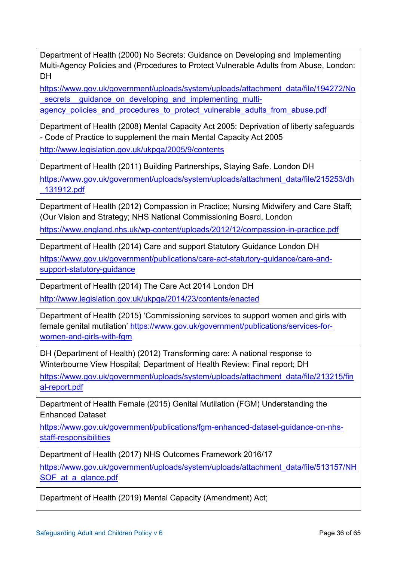Department of Health (2000) No Secrets: Guidance on Developing and Implementing Multi-Agency Policies and (Procedures to Protect Vulnerable Adults from Abuse, London: **DH** 

[https://www.gov.uk/government/uploads/system/uploads/attachment\\_data/file/194272/No](https://www.gov.uk/government/uploads/system/uploads/attachment_data/file/194272/No_secrets__guidance_on_developing_and_implementing_multi-agency_policies_and_procedures_to_protect_vulnerable_adults_from_abuse.pdf) secrets quidance on developing and implementing multiagency policies and procedures to protect vulnerable adults from abuse.pdf

Department of Health (2008) Mental Capacity Act 2005: Deprivation of liberty safeguards - Code of Practice to supplement the main Mental Capacity Act 2005 <http://www.legislation.gov.uk/ukpga/2005/9/contents>

Department of Health (2011) Building Partnerships, Staying Safe. London DH [https://www.gov.uk/government/uploads/system/uploads/attachment\\_data/file/215253/dh](https://www.gov.uk/government/uploads/system/uploads/attachment_data/file/215253/dh_131912.pdf) [\\_131912.pdf](https://www.gov.uk/government/uploads/system/uploads/attachment_data/file/215253/dh_131912.pdf)

Department of Health (2012) Compassion in Practice; Nursing Midwifery and Care Staff; (Our Vision and Strategy; NHS National Commissioning Board, London

<https://www.england.nhs.uk/wp-content/uploads/2012/12/compassion-in-practice.pdf>

Department of Health (2014) Care and support Statutory Guidance London DH

[https://www.gov.uk/government/publications/care-act-statutory-guidance/care-and](https://www.gov.uk/government/publications/care-act-statutory-guidance/care-and-support-statutory-guidance)[support-statutory-guidance](https://www.gov.uk/government/publications/care-act-statutory-guidance/care-and-support-statutory-guidance)

Department of Health (2014) The Care Act 2014 London DH

<http://www.legislation.gov.uk/ukpga/2014/23/contents/enacted>

Department of Health (2015) 'Commissioning services to support women and girls with female genital mutilation' [https://www.gov.uk/government/publications/services-for](https://www.gov.uk/government/publications/services-for-women-and-girls-with-fgm)[women-and-girls-with-fgm](https://www.gov.uk/government/publications/services-for-women-and-girls-with-fgm)

DH (Department of Health) (2012) Transforming care: A national response to Winterbourne View Hospital; Department of Health Review: Final report; DH

[https://www.gov.uk/government/uploads/system/uploads/attachment\\_data/file/213215/fin](https://www.gov.uk/government/uploads/system/uploads/attachment_data/file/213215/final-report.pdf) [al-report.pdf](https://www.gov.uk/government/uploads/system/uploads/attachment_data/file/213215/final-report.pdf)

Department of Health Female (2015) Genital Mutilation (FGM) Understanding the Enhanced Dataset

[https://www.gov.uk/government/publications/fgm-enhanced-dataset-guidance-on-nhs](https://www.gov.uk/government/publications/fgm-enhanced-dataset-guidance-on-nhs-staff-responsibilities)[staff-responsibilities](https://www.gov.uk/government/publications/fgm-enhanced-dataset-guidance-on-nhs-staff-responsibilities)

Department of Health (2017) NHS Outcomes Framework 2016/17

[https://www.gov.uk/government/uploads/system/uploads/attachment\\_data/file/513157/NH](https://www.gov.uk/government/uploads/system/uploads/attachment_data/file/513157/NHSOF_at_a_glance.pdf) SOF at a glance.pdf

Department of Health (2019) Mental Capacity (Amendment) Act;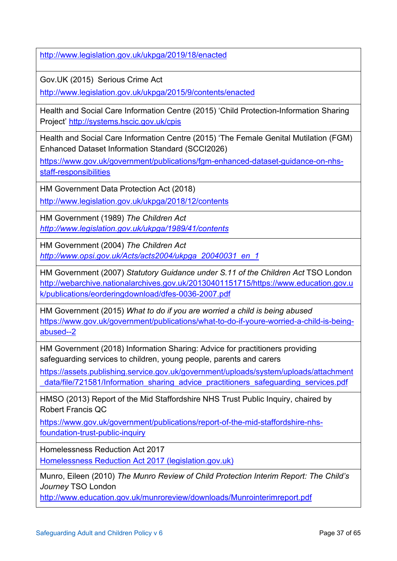<http://www.legislation.gov.uk/ukpga/2019/18/enacted>

Gov.UK (2015) Serious Crime Act

<http://www.legislation.gov.uk/ukpga/2015/9/contents/enacted>

Health and Social Care Information Centre (2015) 'Child Protection-Information Sharing Project'<http://systems.hscic.gov.uk/cpis>

Health and Social Care Information Centre (2015) 'The Female Genital Mutilation (FGM) Enhanced Dataset Information Standard (SCCI2026)

[https://www.gov.uk/government/publications/fgm-enhanced-dataset-guidance-on-nhs](https://www.gov.uk/government/publications/fgm-enhanced-dataset-guidance-on-nhs-staff-responsibilities)[staff-responsibilities](https://www.gov.uk/government/publications/fgm-enhanced-dataset-guidance-on-nhs-staff-responsibilities)

HM Government Data Protection Act (2018)

http://www.legislation.gov.uk/ukpga/2018/12/contents

HM Government (1989) *The Children Act <http://www.legislation.gov.uk/ukpga/1989/41/contents>*

HM Government (2004) *The Children Act [http://www.opsi.gov.uk/Acts/acts2004/ukpga\\_20040031\\_en\\_1](http://www.opsi.gov.uk/Acts/acts2004/ukpga_20040031_en_1)*

HM Government (2007) *Statutory Guidance under S.11 of the Children Act* TSO London [http://webarchive.nationalarchives.gov.uk/20130401151715/https://www.education.gov.u](http://webarchive.nationalarchives.gov.uk/20130401151715/https:/www.education.gov.uk/publications/eorderingdownload/dfes-0036-2007.pdf) [k/publications/eorderingdownload/dfes-0036-2007.pdf](http://webarchive.nationalarchives.gov.uk/20130401151715/https:/www.education.gov.uk/publications/eorderingdownload/dfes-0036-2007.pdf)

HM Government (2015) *What to do if you are worried a child is being abused*  [https://www.gov.uk/government/publications/what-to-do-if-youre-worried-a-child-is-being](https://www.gov.uk/government/publications/what-to-do-if-youre-worried-a-child-is-being-abused--2)[abused--2](https://www.gov.uk/government/publications/what-to-do-if-youre-worried-a-child-is-being-abused--2)

HM Government (2018) Information Sharing: Advice for practitioners providing safeguarding services to children, young people, parents and carers

[https://assets.publishing.service.gov.uk/government/uploads/system/uploads/attachment](https://assets.publishing.service.gov.uk/government/uploads/system/uploads/attachment_data/file/721581/Information_sharing_advice_practitioners_safeguarding_services.pdf) data/file/721581/Information\_sharing\_advice\_practitioners\_safeguarding\_services.pdf

HMSO (2013) Report of the Mid Staffordshire NHS Trust Public Inquiry, chaired by Robert Francis QC

[https://www.gov.uk/government/publications/report-of-the-mid-staffordshire-nhs](https://www.gov.uk/government/publications/report-of-the-mid-staffordshire-nhs-foundation-trust-public-inquiry)[foundation-trust-public-inquiry](https://www.gov.uk/government/publications/report-of-the-mid-staffordshire-nhs-foundation-trust-public-inquiry)

Homelessness Reduction Act 2017

[Homelessness Reduction Act 2017 \(legislation.gov.uk\)](https://www.legislation.gov.uk/ukpga/2017/13/contents)

Munro, Eileen (2010) *The Munro Review of Child Protection Interim Report: The Child's Journey* TSO London

<http://www.education.gov.uk/munroreview/downloads/Munrointerimreport.pdf>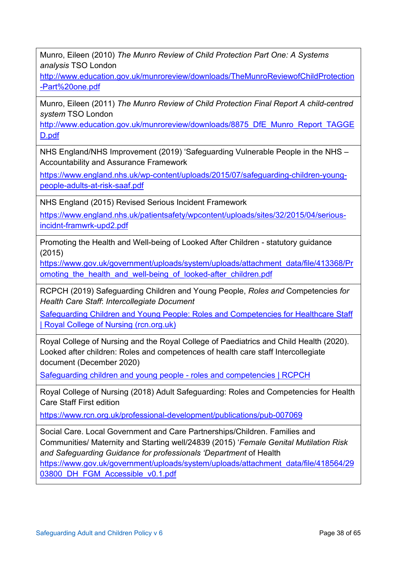Munro, Eileen (2010) *The Munro Review of Child Protection Part One: A Systems analysis* TSO London

[http://www.education.gov.uk/munroreview/downloads/TheMunroReviewofChildProtection](http://www.education.gov.uk/munroreview/downloads/TheMunroReviewofChildProtection-Part%20one.pdf) [-Part%20one.pdf](http://www.education.gov.uk/munroreview/downloads/TheMunroReviewofChildProtection-Part%20one.pdf)

Munro, Eileen (2011) *The Munro Review of Child Protection Final Report A child-centred system* TSO London

[http://www.education.gov.uk/munroreview/downloads/8875\\_DfE\\_Munro\\_Report\\_TAGGE](http://www.education.gov.uk/munroreview/downloads/8875_DfE_Munro_Report_TAGGED.pdf) [D.pdf](http://www.education.gov.uk/munroreview/downloads/8875_DfE_Munro_Report_TAGGED.pdf)

NHS England/NHS Improvement (2019) 'Safeguarding Vulnerable People in the NHS – Accountability and Assurance Framework

[https://www.england.nhs.uk/wp-content/uploads/2015/07/safeguarding-children-young](https://www.england.nhs.uk/wp-content/uploads/2015/07/safeguarding-children-young-people-adults-at-risk-saaf.pdf)[people-adults-at-risk-saaf.pdf](https://www.england.nhs.uk/wp-content/uploads/2015/07/safeguarding-children-young-people-adults-at-risk-saaf.pdf)

NHS England (2015) Revised Serious Incident Framework

[https://www.england.nhs.uk/patientsafety/wpcontent/uploads/sites/32/2015/04/serious](https://www.england.nhs.uk/patientsafety/wpcontent/uploads/sites/32/2015/04/serious-incidnt-framwrk-upd2.pdf)[incidnt-framwrk-upd2.pdf](https://www.england.nhs.uk/patientsafety/wpcontent/uploads/sites/32/2015/04/serious-incidnt-framwrk-upd2.pdf)

Promoting the Health and Well-being of Looked After Children - statutory guidance (2015)

[https://www.gov.uk/government/uploads/system/uploads/attachment\\_data/file/413368/Pr](https://www.gov.uk/government/uploads/system/uploads/attachment_data/file/413368/Promoting_the_health_and_well-being_of_looked-after_children.pdf) omoting the health and well-being of looked-after children.pdf

RCPCH (2019) Safeguarding Children and Young People, *Roles and* Competencies *for Health Care Staff*: *Intercollegiate Document* 

[Safeguarding Children and Young People: Roles and Competencies for Healthcare Staff](https://www.rcn.org.uk/professional-development/publications/pub-007366)  [| Royal College of Nursing \(rcn.org.uk\)](https://www.rcn.org.uk/professional-development/publications/pub-007366)

Royal College of Nursing and the Royal College of Paediatrics and Child Health (2020). Looked after children: Roles and competences of health care staff Intercollegiate document (December 2020)

[Safeguarding children and young people -](https://www.rcpch.ac.uk/resources/safeguarding-children-young-people-roles-competencies) roles and competencies | RCPCH

Royal College of Nursing (2018) Adult Safeguarding: Roles and Competencies for Health Care Staff First edition

<https://www.rcn.org.uk/professional-development/publications/pub-007069>

Social Care. Local Government and Care Partnerships/Children. Families and Communities/ Maternity and Starting well/24839 (2015) '*Female Genital Mutilation Risk and Safeguarding Guidance for professionals 'Department* of Health [https://www.gov.uk/government/uploads/system/uploads/attachment\\_data/file/418564/29](https://www.gov.uk/government/uploads/system/uploads/attachment_data/file/418564/2903800_DH_FGM_Accessible_v0.1.pdf) [03800\\_DH\\_FGM\\_Accessible\\_v0.1.pdf](https://www.gov.uk/government/uploads/system/uploads/attachment_data/file/418564/2903800_DH_FGM_Accessible_v0.1.pdf)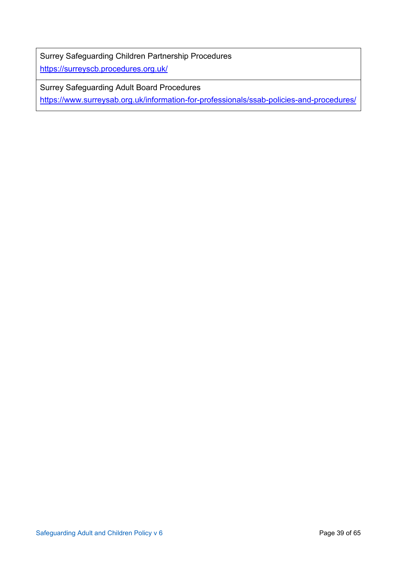Surrey Safeguarding Children Partnership Procedures https://surreyscb.procedures.org.uk/

Surrey Safeguarding Adult Board Procedures

<https://www.surreysab.org.uk/information-for-professionals/ssab-policies-and-procedures/>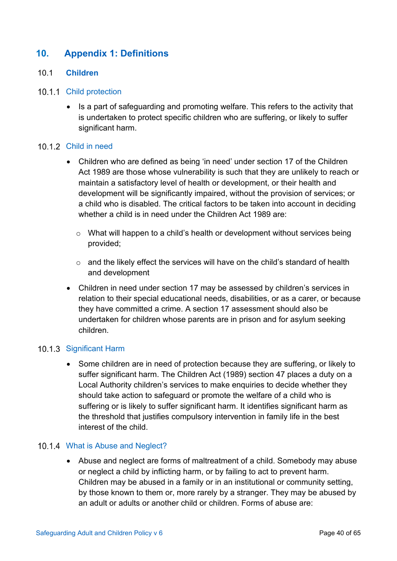# <span id="page-39-0"></span>**10. Appendix 1: Definitions**

#### <span id="page-39-1"></span>10.1 **Children**

#### 10.1.1 Child protection

• Is a part of safeguarding and promoting welfare. This refers to the activity that is undertaken to protect specific children who are suffering, or likely to suffer significant harm.

#### 10.1.2 Child in need

- Children who are defined as being 'in need' under section 17 of the Children Act 1989 are those whose vulnerability is such that they are unlikely to reach or maintain a satisfactory level of health or development, or their health and development will be significantly impaired, without the provision of services; or a child who is disabled. The critical factors to be taken into account in deciding whether a child is in need under the Children Act 1989 are:
	- $\circ$  What will happen to a child's health or development without services being provided;
	- $\circ$  and the likely effect the services will have on the child's standard of health and development
- Children in need under section 17 may be assessed by children's services in relation to their special educational needs, disabilities, or as a carer, or because they have committed a crime. A section 17 assessment should also be undertaken for children whose parents are in prison and for asylum seeking children.

#### 10.1.3 Significant Harm

• Some children are in need of protection because they are suffering, or likely to suffer significant harm. The Children Act (1989) section 47 places a duty on a Local Authority children's services to make enquiries to decide whether they should take action to safeguard or promote the welfare of a child who is suffering or is likely to suffer significant harm. It identifies significant harm as the threshold that justifies compulsory intervention in family life in the best interest of the child.

#### 10.1.4 What is Abuse and Neglect?

• Abuse and neglect are forms of maltreatment of a child. Somebody may abuse or neglect a child by inflicting harm, or by failing to act to prevent harm. Children may be abused in a family or in an institutional or community setting, by those known to them or, more rarely by a stranger. They may be abused by an adult or adults or another child or children. Forms of abuse are: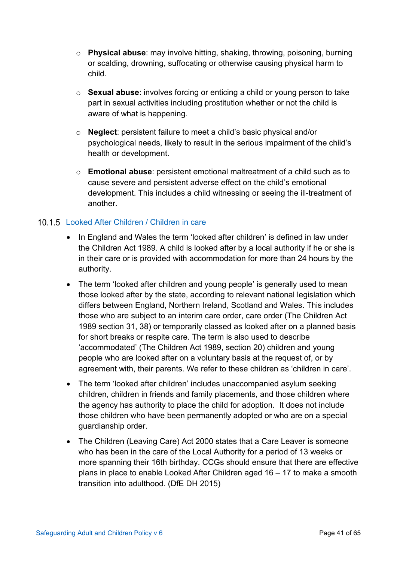- o **Physical abuse**: may involve hitting, shaking, throwing, poisoning, burning or scalding, drowning, suffocating or otherwise causing physical harm to child.
- o **Sexual abuse**: involves forcing or enticing a child or young person to take part in sexual activities including prostitution whether or not the child is aware of what is happening.
- o **Neglect**: persistent failure to meet a child's basic physical and/or psychological needs, likely to result in the serious impairment of the child's health or development.
- o **Emotional abuse**: persistent emotional maltreatment of a child such as to cause severe and persistent adverse effect on the child's emotional development. This includes a child witnessing or seeing the ill-treatment of another.

## 10.1.5 Looked After Children / Children in care

- In England and Wales the term 'looked after children' is defined in law under the Children Act 1989. A child is looked after by a local authority if he or she is in their care or is provided with accommodation for more than 24 hours by the authority.
- The term 'looked after children and young people' is generally used to mean those looked after by the state, according to relevant national legislation which differs between England, Northern Ireland, Scotland and Wales. This includes those who are subject to an interim care order, care order (The Children Act 1989 section 31, 38) or temporarily classed as looked after on a planned basis for short breaks or respite care. The term is also used to describe 'accommodated' (The Children Act 1989, section 20) children and young people who are looked after on a voluntary basis at the request of, or by agreement with, their parents. We refer to these children as 'children in care'.
- The term 'looked after children' includes unaccompanied asylum seeking children, children in friends and family placements, and those children where the agency has authority to place the child for adoption. It does not include those children who have been permanently adopted or who are on a special guardianship order.
- The Children (Leaving Care) Act 2000 states that a Care Leaver is someone who has been in the care of the Local Authority for a period of 13 weeks or more spanning their 16th birthday. CCGs should ensure that there are effective plans in place to enable Looked After Children aged 16 – 17 to make a smooth transition into adulthood. (DfE DH 2015)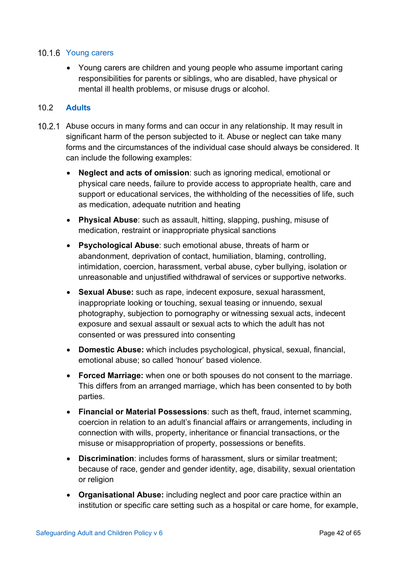#### 10.1.6 Young carers

• Young carers are children and young people who assume important caring responsibilities for parents or siblings, who are disabled, have physical or mental ill health problems, or misuse drugs or alcohol.

#### <span id="page-41-0"></span>10.2 **Adults**

- Abuse occurs in many forms and can occur in any relationship. It may result in significant harm of the person subjected to it. Abuse or neglect can take many forms and the circumstances of the individual case should always be considered. It can include the following examples:
	- **Neglect and acts of omission**: such as ignoring medical, emotional or physical care needs, failure to provide access to appropriate health, care and support or educational services, the withholding of the necessities of life, such as medication, adequate nutrition and heating
	- **Physical Abuse**: such as assault, hitting, slapping, pushing, misuse of medication, restraint or inappropriate physical sanctions
	- **Psychological Abuse**: such emotional abuse, threats of harm or abandonment, deprivation of contact, humiliation, blaming, controlling, intimidation, coercion, harassment, verbal abuse, cyber bullying, isolation or unreasonable and unjustified withdrawal of services or supportive networks.
	- **Sexual Abuse:** such as rape, indecent exposure, sexual harassment, inappropriate looking or touching, sexual teasing or innuendo, sexual photography, subjection to pornography or witnessing sexual acts, indecent exposure and sexual assault or sexual acts to which the adult has not consented or was pressured into consenting
	- **Domestic Abuse:** which includes psychological, physical, sexual, financial, emotional abuse; so called 'honour' based violence.
	- **Forced Marriage:** when one or both spouses do not consent to the marriage. This differs from an arranged marriage, which has been consented to by both parties.
	- **Financial or Material Possessions**: such as theft, fraud, internet scamming, coercion in relation to an adult's financial affairs or arrangements, including in connection with wills, property, inheritance or financial transactions, or the misuse or misappropriation of property, possessions or benefits.
	- **Discrimination**: includes forms of harassment, slurs or similar treatment; because of race, gender and gender identity, age, disability, sexual orientation or religion
	- **Organisational Abuse:** including neglect and poor care practice within an institution or specific care setting such as a hospital or care home, for example,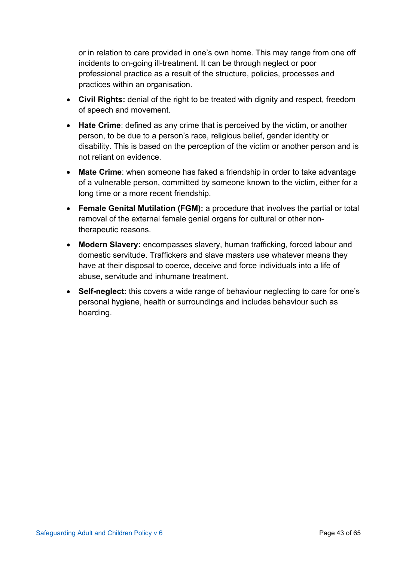or in relation to care provided in one's own home. This may range from one off incidents to on-going ill-treatment. It can be through neglect or poor professional practice as a result of the structure, policies, processes and practices within an organisation.

- **Civil Rights:** denial of the right to be treated with dignity and respect, freedom of speech and movement.
- **Hate Crime**: defined as any crime that is perceived by the victim, or another person, to be due to a person's race, religious belief, gender identity or disability. This is based on the perception of the victim or another person and is not reliant on evidence.
- **Mate Crime**: when someone has faked a friendship in order to take advantage of a vulnerable person, committed by someone known to the victim, either for a long time or a more recent friendship.
- **Female Genital Mutilation (FGM):** a procedure that involves the partial or total removal of the external female genial organs for cultural or other nontherapeutic reasons.
- **Modern Slavery:** encompasses slavery, human trafficking, forced labour and domestic servitude. Traffickers and slave masters use whatever means they have at their disposal to coerce, deceive and force individuals into a life of abuse, servitude and inhumane treatment.
- **Self-neglect:** this covers a wide range of behaviour neglecting to care for one's personal hygiene, health or surroundings and includes behaviour such as hoarding.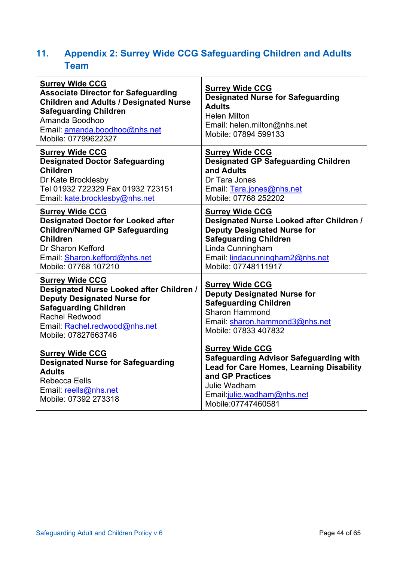# <span id="page-43-0"></span>**11. Appendix 2: Surrey Wide CCG Safeguarding Children and Adults Team**

| <b>Surrey Wide CCG</b><br><b>Associate Director for Safeguarding</b><br><b>Children and Adults / Designated Nurse</b><br><b>Safeguarding Children</b><br>Amanda Boodhoo<br>Email: amanda.boodhoo@nhs.net<br>Mobile: 07799622327 | <b>Surrey Wide CCG</b><br><b>Designated Nurse for Safeguarding</b><br><b>Adults</b><br><b>Helen Milton</b><br>Email: helen.milton@nhs.net<br>Mobile: 07894 599133                                                          |
|---------------------------------------------------------------------------------------------------------------------------------------------------------------------------------------------------------------------------------|----------------------------------------------------------------------------------------------------------------------------------------------------------------------------------------------------------------------------|
| <b>Surrey Wide CCG</b><br><b>Designated Doctor Safeguarding</b><br><b>Children</b><br>Dr Kate Brocklesby<br>Tel 01932 722329 Fax 01932 723151<br>Email: kate.brocklesby@nhs.net                                                 | <b>Surrey Wide CCG</b><br><b>Designated GP Safeguarding Children</b><br>and Adults<br>Dr Tara Jones<br>Email: Tara.jones@nhs.net<br>Mobile: 07768 252202                                                                   |
| <b>Surrey Wide CCG</b><br><b>Designated Doctor for Looked after</b><br><b>Children/Named GP Safeguarding</b><br><b>Children</b><br>Dr Sharon Kefford<br>Email: Sharon.kefford@nhs.net<br>Mobile: 07768 107210                   | <b>Surrey Wide CCG</b><br>Designated Nurse Looked after Children /<br><b>Deputy Designated Nurse for</b><br><b>Safeguarding Children</b><br>Linda Cunningham<br>Email: lindacunningham2@nhs.net<br>Mobile: 07748111917     |
| <b>Surrey Wide CCG</b><br>Designated Nurse Looked after Children /<br><b>Deputy Designated Nurse for</b><br><b>Safeguarding Children</b><br><b>Rachel Redwood</b><br>Email: Rachel.redwood@nhs.net<br>Mobile: 07827663746       | <b>Surrey Wide CCG</b><br><b>Deputy Designated Nurse for</b><br><b>Safeguarding Children</b><br><b>Sharon Hammond</b><br>Email: sharon.hammond3@nhs.net<br>Mobile: 07833 407832                                            |
| <b>Surrey Wide CCG</b><br><b>Designated Nurse for Safeguarding</b><br><b>Adults</b><br><b>Rebecca Eells</b><br>Email: reells@nhs.net<br>Mobile: 07392 273318                                                                    | <b>Surrey Wide CCG</b><br><b>Safeguarding Advisor Safeguarding with</b><br><b>Lead for Care Homes, Learning Disability</b><br>and GP Practices<br><b>Julie Wadham</b><br>Email: julie.wadham@nhs.net<br>Mobile:07747460581 |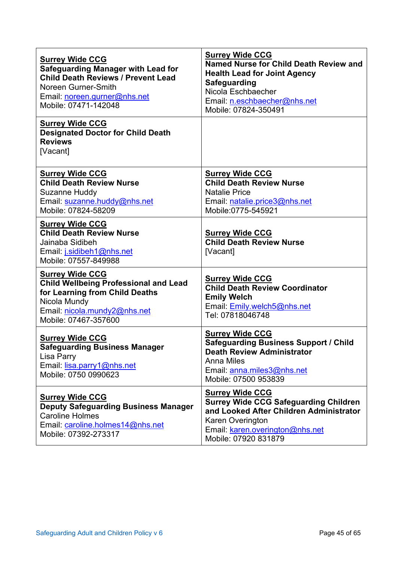| <b>Surrey Wide CCG</b><br>Safeguarding Manager with Lead for<br><b>Child Death Reviews / Prevent Lead</b><br>Noreen Gurner-Smith<br>Email: noreen.gurner@nhs.net<br>Mobile: 07471-142048 | <b>Surrey Wide CCG</b><br>Named Nurse for Child Death Review and<br><b>Health Lead for Joint Agency</b><br><b>Safeguarding</b><br>Nicola Eschbaecher<br>Email: n.eschbaecher@nhs.net<br>Mobile: 07824-350491 |
|------------------------------------------------------------------------------------------------------------------------------------------------------------------------------------------|--------------------------------------------------------------------------------------------------------------------------------------------------------------------------------------------------------------|
| <b>Surrey Wide CCG</b><br><b>Designated Doctor for Child Death</b><br><b>Reviews</b><br>[Vacant]                                                                                         |                                                                                                                                                                                                              |
| <b>Surrey Wide CCG</b><br><b>Child Death Review Nurse</b><br><b>Suzanne Huddy</b><br>Email: suzanne.huddy@nhs.net<br>Mobile: 07824-58209                                                 | <b>Surrey Wide CCG</b><br><b>Child Death Review Nurse</b><br><b>Natalie Price</b><br>Email: natalie.price3@nhs.net<br>Mobile:0775-545921                                                                     |
| <b>Surrey Wide CCG</b><br><b>Child Death Review Nurse</b><br>Jainaba Sidibeh<br>Email: j.sidibeh1@nhs.net<br>Mobile: 07557-849988                                                        | <b>Surrey Wide CCG</b><br><b>Child Death Review Nurse</b><br>[Vacant]                                                                                                                                        |
| <b>Surrey Wide CCG</b><br><b>Child Wellbeing Professional and Lead</b><br>for Learning from Child Deaths<br>Nicola Mundy<br>Email: nicola.mundy2@nhs.net<br>Mobile: 07467-357600         | <b>Surrey Wide CCG</b><br><b>Child Death Review Coordinator</b><br><b>Emily Welch</b><br>Email: Emily.welch5@nhs.net<br>Tel: 07818046748                                                                     |
| <b>Surrey Wide CCG</b><br><b>Safeguarding Business Manager</b><br>Lisa Parry<br>Email: lisa.parry1@nhs.net<br>Mobile: 0750 0990623                                                       | <b>Surrey Wide CCG</b><br><b>Safeguarding Business Support / Child</b><br><b>Death Review Administrator</b><br><b>Anna Miles</b><br>Email: anna.miles3@nhs.net<br>Mobile: 07500 953839                       |
| <b>Surrey Wide CCG</b><br><b>Deputy Safeguarding Business Manager</b><br><b>Caroline Holmes</b><br>Email: caroline.holmes14@nhs.net<br>Mobile: 07392-273317                              | <b>Surrey Wide CCG</b><br><b>Surrey Wide CCG Safeguarding Children</b><br>and Looked After Children Administrator<br>Karen Overington<br>Email: karen.overington@nhs.net<br>Mobile: 07920 831879             |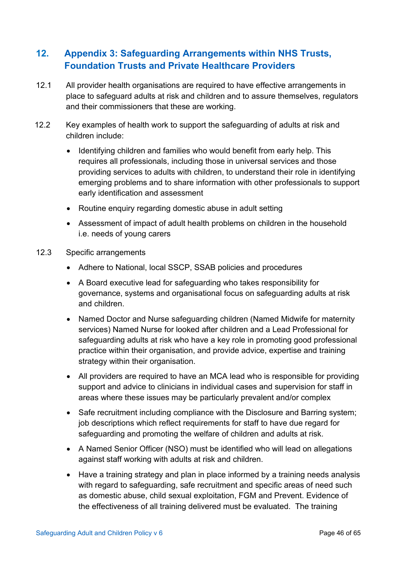# <span id="page-45-0"></span>**12. Appendix 3: Safeguarding Arrangements within NHS Trusts, Foundation Trusts and Private Healthcare Providers**

- 12.1 All provider health organisations are required to have effective arrangements in place to safeguard adults at risk and children and to assure themselves, regulators and their commissioners that these are working.
- 12.2 Key examples of health work to support the safeguarding of adults at risk and children include:
	- Identifying children and families who would benefit from early help. This requires all professionals, including those in universal services and those providing services to adults with children, to understand their role in identifying emerging problems and to share information with other professionals to support early identification and assessment
	- Routine enquiry regarding domestic abuse in adult setting
	- Assessment of impact of adult health problems on children in the household i.e. needs of young carers
- 12.3 Specific arrangements
	- Adhere to National, local SSCP, SSAB policies and procedures
	- A Board executive lead for safeguarding who takes responsibility for governance, systems and organisational focus on safeguarding adults at risk and children.
	- Named Doctor and Nurse safeguarding children (Named Midwife for maternity services) Named Nurse for looked after children and a Lead Professional for safeguarding adults at risk who have a key role in promoting good professional practice within their organisation, and provide advice, expertise and training strategy within their organisation.
	- All providers are required to have an MCA lead who is responsible for providing support and advice to clinicians in individual cases and supervision for staff in areas where these issues may be particularly prevalent and/or complex
	- Safe recruitment including compliance with the Disclosure and Barring system; job descriptions which reflect requirements for staff to have due regard for safeguarding and promoting the welfare of children and adults at risk.
	- A Named Senior Officer (NSO) must be identified who will lead on allegations against staff working with adults at risk and children.
	- Have a training strategy and plan in place informed by a training needs analysis with regard to safeguarding, safe recruitment and specific areas of need such as domestic abuse, child sexual exploitation, FGM and Prevent. Evidence of the effectiveness of all training delivered must be evaluated. The training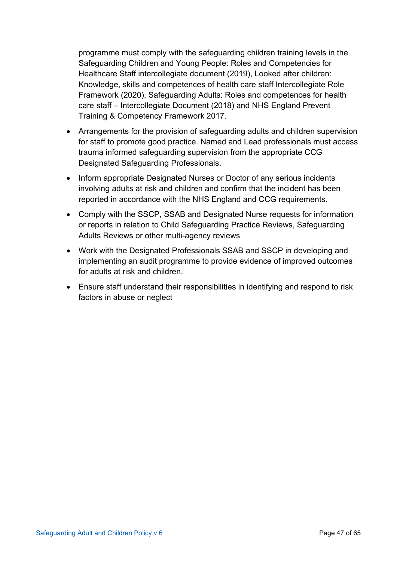programme must comply with the safeguarding children training levels in the Safeguarding Children and Young People: Roles and Competencies for Healthcare Staff intercollegiate document (2019), Looked after children: Knowledge, skills and competences of health care staff Intercollegiate Role Framework (2020), Safeguarding Adults: Roles and competences for health care staff – Intercollegiate Document (2018) and NHS England Prevent Training & Competency Framework 2017.

- Arrangements for the provision of safeguarding adults and children supervision for staff to promote good practice. Named and Lead professionals must access trauma informed safeguarding supervision from the appropriate CCG Designated Safeguarding Professionals.
- Inform appropriate Designated Nurses or Doctor of any serious incidents involving adults at risk and children and confirm that the incident has been reported in accordance with the NHS England and CCG requirements.
- Comply with the SSCP, SSAB and Designated Nurse requests for information or reports in relation to Child Safeguarding Practice Reviews, Safeguarding Adults Reviews or other multi-agency reviews
- Work with the Designated Professionals SSAB and SSCP in developing and implementing an audit programme to provide evidence of improved outcomes for adults at risk and children.
- Ensure staff understand their responsibilities in identifying and respond to risk factors in abuse or neglect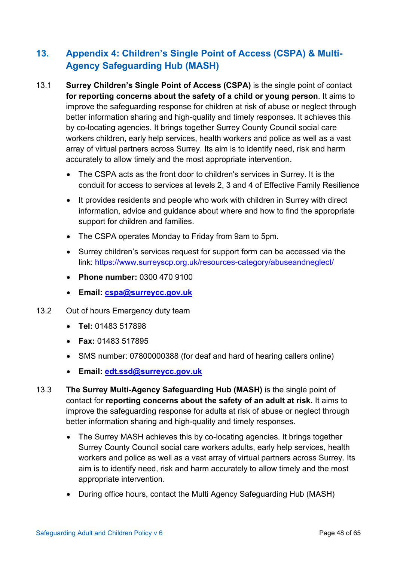# <span id="page-47-0"></span>**13. Appendix 4: Children's Single Point of Access (CSPA) & Multi-Agency Safeguarding Hub (MASH)**

- 13.1 **Surrey Children's Single Point of Access (CSPA)** is the single point of contact **for reporting concerns about the safety of a child or young person**. It aims to improve the safeguarding response for children at risk of abuse or neglect through better information sharing and high-quality and timely responses. It achieves this by co-locating agencies. It brings together Surrey County Council social care workers children, early help services, health workers and police as well as a vast array of virtual partners across Surrey. Its aim is to identify need, risk and harm accurately to allow timely and the most appropriate intervention.
	- The CSPA acts as the front door to children's services in Surrey. It is the conduit for access to services at levels 2, 3 and 4 of Effective Family Resilience
	- It provides residents and people who work with children in Surrey with direct information, advice and guidance about where and how to find the appropriate support for children and families.
	- The CSPA operates Monday to Friday from 9am to 5pm.
	- Surrey children's services request for support form can be accessed via the link: <https://www.surreyscp.org.uk/resources-category/abuseandneglect/>
	- **Phone number:** 0300 470 9100
	- **Email: [cspa@surreycc.gov.uk](mailto:cspa@surreycc.gov.uk)**
- 13.2 Out of hours Emergency duty team
	- **Tel:** 01483 517898
	- **Fax:** 01483 517895
	- SMS number: 07800000388 (for deaf and hard of hearing callers online)
	- **Email: [edt.ssd@surreycc.gov.uk](mailto:edt.ssd@surreycc.gov.uk)**
- 13.3 **The Surrey Multi-Agency Safeguarding Hub (MASH)** is the single point of contact for **reporting concerns about the safety of an adult at risk.** It aims to improve the safeguarding response for adults at risk of abuse or neglect through better information sharing and high-quality and timely responses.
	- The Surrey MASH achieves this by co-locating agencies. It brings together Surrey County Council social care workers adults, early help services, health workers and police as well as a vast array of virtual partners across Surrey. Its aim is to identify need, risk and harm accurately to allow timely and the most appropriate intervention.
	- During office hours, contact the Multi Agency Safeguarding Hub (MASH)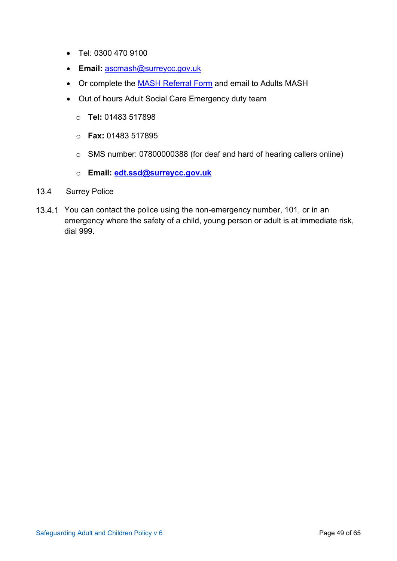- Tel: 0300 470 9100
- **Email:** [ascmash@surreycc.gov.uk](mailto:ascmash@surreycc.gov.uk)
- Or complete the [MASH Referral Form](https://www.surreysab.org.uk/concerned-about-an-adult/) and email to Adults MASH
- Out of hours Adult Social Care Emergency duty team
	- o **Tel:** 01483 517898
	- o **Fax:** 01483 517895
	- o SMS number: 07800000388 (for deaf and hard of hearing callers online)
	- o **Email: [edt.ssd@surreycc.gov.uk](mailto:edt.ssd@surreycc.gov.uk)**
- 13.4 Surrey Police
- 13.4.1 You can contact the police using the non-emergency number, 101, or in an emergency where the safety of a child, young person or adult is at immediate risk, dial 999.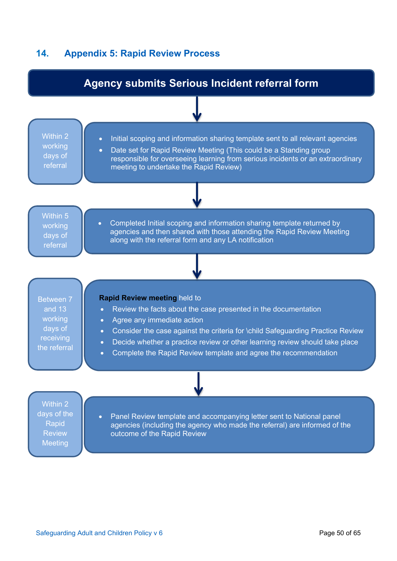# <span id="page-49-0"></span>**14. Appendix 5: Rapid Review Process**

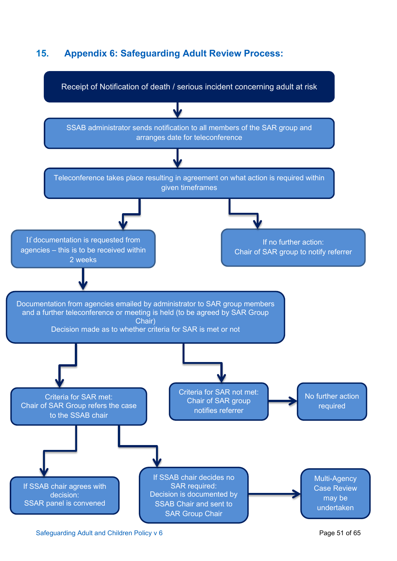

# <span id="page-50-0"></span>**15. Appendix 6: Safeguarding Adult Review Process:**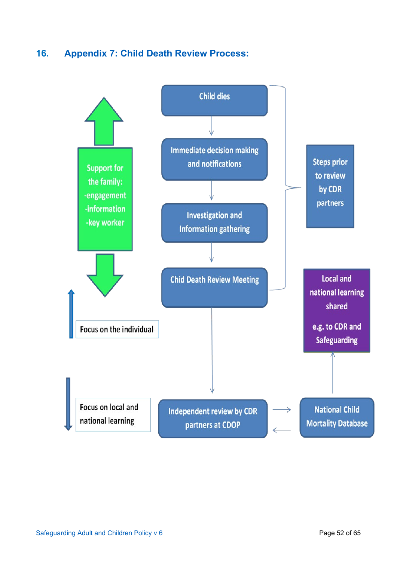# <span id="page-51-0"></span>**16. Appendix 7: Child Death Review Process:**

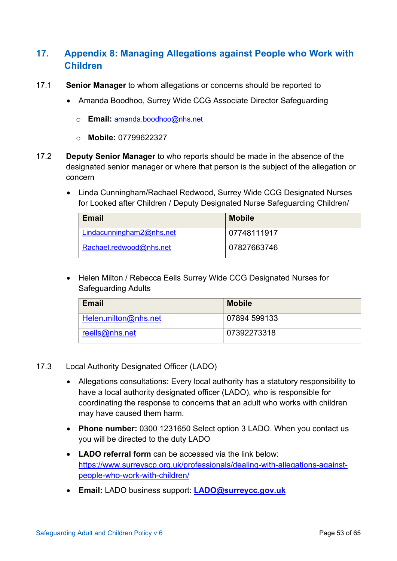# <span id="page-52-0"></span>**17. Appendix 8: Managing Allegations against People who Work with Children**

- 17.1 **Senior Manager** to whom allegations or concerns should be reported to
	- Amanda Boodhoo, Surrey Wide CCG Associate Director Safeguarding
		- o **Email:** [amanda.boodhoo@nhs.net](mailto:amanda.boodhoo@surreypct.nhs.uk)
		- o **Mobile:** 07799622327
- 17.2 **Deputy Senior Manager** to who reports should be made in the absence of the designated senior manager or where that person is the subject of the allegation or concern
	- Linda Cunningham/Rachael Redwood, Surrey Wide CCG Designated Nurses for Looked after Children / Deputy Designated Nurse Safeguarding Children/

| <b>Email</b>             | <b>Mobile</b> |
|--------------------------|---------------|
| Lindacunningham2@nhs.net | 07748111917   |
| Rachael.redwood@nhs.net  | 07827663746   |

• Helen Milton / Rebecca Eells Surrey Wide CCG Designated Nurses for Safeguarding Adults

| <b>Email</b>                 | <b>Mobile</b> |
|------------------------------|---------------|
| $\vert$ Helen.milton@nhs.net | 07894 599133  |
| reells@nhs.net               | 07392273318   |

#### 17.3 Local Authority Designated Officer (LADO)

- Allegations consultations: Every local authority has a statutory responsibility to have a local authority designated officer (LADO), who is responsible for coordinating the response to concerns that an adult who works with children may have caused them harm.
- **Phone number:** 0300 1231650 Select option 3 LADO. When you contact us you will be directed to the duty LADO
- **LADO referral form** can be accessed via the link below: [https://www.surreyscp.org.uk/professionals/dealing-with-allegations-against](https://www.surreyscp.org.uk/professionals/dealing-with-allegations-against-people-who-work-with-children/)[people-who-work-with-children/](https://www.surreyscp.org.uk/professionals/dealing-with-allegations-against-people-who-work-with-children/)
- **Email:** LADO business support: **[LADO@surreycc.gov.uk](mailto:LADO@surreycc.gov.uk)**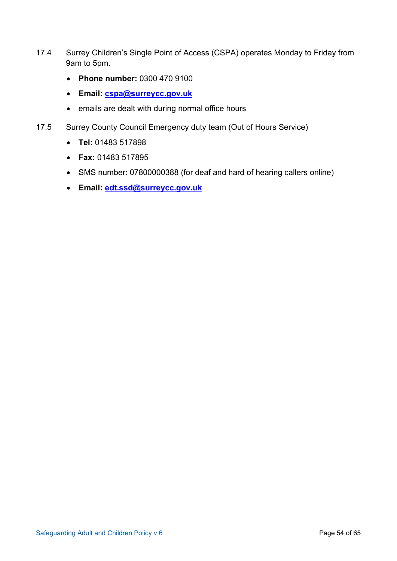- 17.4 Surrey Children's Single Point of Access (CSPA) operates Monday to Friday from 9am to 5pm.
	- **Phone number:** 0300 470 9100
	- **Email: [cspa@surreycc.gov.uk](mailto:cspa@surreycc.gov.uk)**
	- emails are dealt with during normal office hours
- 17.5 Surrey County Council Emergency duty team (Out of Hours Service)
	- **Tel:** 01483 517898
	- **Fax:** 01483 517895
	- SMS number: 07800000388 (for deaf and hard of hearing callers online)
	- **Email: [edt.ssd@surreycc.gov.uk](mailto:edt.ssd@surreycc.gov.uk)**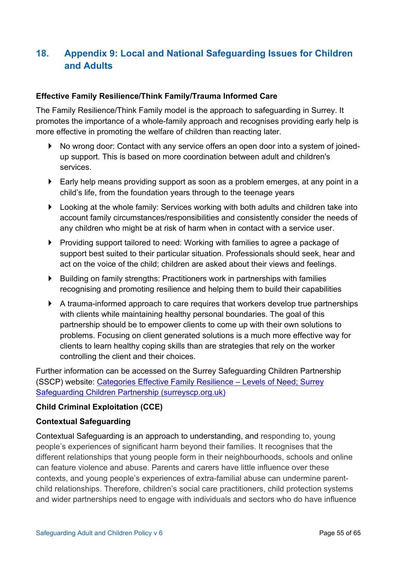# <span id="page-54-0"></span>**18. Appendix 9: Local and National Safeguarding Issues for Children and Adults**

#### **Effective Family Resilience/Think Family/Trauma Informed Care**

The Family Resilience/Think Family model is the approach to safeguarding in Surrey. It promotes the importance of a whole-family approach and recognises providing early help is more effective in promoting the welfare of children than reacting later.

- No wrong door: Contact with any service offers an open door into a system of joinedup support. This is based on more coordination between adult and children's services.
- Early help means providing support as soon as a problem emerges, at any point in a child's life, from the foundation years through to the teenage years
- ▶ Looking at the whole family: Services working with both adults and children take into account family circumstances/responsibilities and consistently consider the needs of any children who might be at risk of harm when in contact with a service user.
- ▶ Providing support tailored to need: Working with families to agree a package of support best suited to their particular situation. Professionals should seek, hear and act on the voice of the child; children are asked about their views and feelings.
- Building on family strengths: Practitioners work in partnerships with families recognising and promoting resilience and helping them to build their capabilities
- A trauma-informed approach to care requires that workers develop true partnerships with clients while maintaining healthy personal boundaries. The goal of this partnership should be to empower clients to come up with their own solutions to problems. Focusing on client generated solutions is a much more effective way for clients to learn healthy coping skills than are strategies that rely on the worker controlling the client and their choices.

Further information can be accessed on the Surrey Safeguarding Children Partnership (SSCP) website: [Categories Effective Family Resilience –](https://www.surreyscp.org.uk/resources-category/effectivefamilyresiliencelevelsofneed/) Levels of Need; Surrey [Safeguarding Children Partnership \(surreyscp.org.uk\)](https://www.surreyscp.org.uk/resources-category/effectivefamilyresiliencelevelsofneed/)

#### **Child Criminal Exploitation (CCE)**

#### **Contextual Safeguarding**

Contextual Safeguarding is an approach to understanding, and responding to, young people's experiences of significant harm beyond their families. It recognises that the different relationships that young people form in their neighbourhoods, schools and online can feature violence and abuse. Parents and carers have little influence over these contexts, and young people's experiences of extra-familial abuse can undermine parentchild relationships. Therefore, children's social care practitioners, child protection systems and wider partnerships need to engage with individuals and sectors who do have influence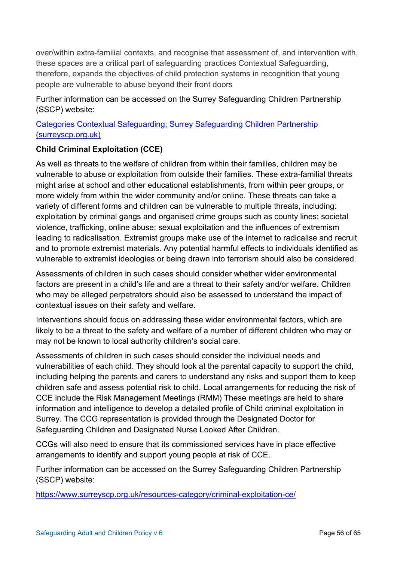over/within extra-familial contexts, and recognise that assessment of, and intervention with, these spaces are a critical part of safeguarding practices Contextual Safeguarding, therefore, expands the objectives of child protection systems in recognition that young people are vulnerable to abuse beyond their front doors

Further information can be accessed on the Surrey Safeguarding Children Partnership (SSCP) website:

## [Categories Contextual Safeguarding; Surrey Safeguarding Children Partnership](https://www.surreyscp.org.uk/resources-category/contextual-safeguarding/)  [\(surreyscp.org.uk\)](https://www.surreyscp.org.uk/resources-category/contextual-safeguarding/)

## **Child Criminal Exploitation (CCE)**

As well as threats to the welfare of children from within their families, children may be vulnerable to abuse or exploitation from outside their families. These extra-familial threats might arise at school and other educational establishments, from within peer groups, or more widely from within the wider community and/or online. These threats can take a variety of different forms and children can be vulnerable to multiple threats, including: exploitation by criminal gangs and organised crime groups such as county lines; societal violence, trafficking, online abuse; sexual exploitation and the influences of extremism leading to radicalisation. Extremist groups make use of the internet to radicalise and recruit and to promote extremist materials. Any potential harmful effects to individuals identified as vulnerable to extremist ideologies or being drawn into terrorism should also be considered.

Assessments of children in such cases should consider whether wider environmental factors are present in a child's life and are a threat to their safety and/or welfare. Children who may be alleged perpetrators should also be assessed to understand the impact of contextual issues on their safety and welfare.

Interventions should focus on addressing these wider environmental factors, which are likely to be a threat to the safety and welfare of a number of different children who may or may not be known to local authority children's social care.

Assessments of children in such cases should consider the individual needs and vulnerabilities of each child. They should look at the parental capacity to support the child, including helping the parents and carers to understand any risks and support them to keep children safe and assess potential risk to child. Local arrangements for reducing the risk of CCE include the Risk Management Meetings (RMM) These meetings are held to share information and intelligence to develop a detailed profile of Child criminal exploitation in Surrey. The CCG representation is provided through the Designated Doctor for Safeguarding Children and Designated Nurse Looked After Children.

CCGs will also need to ensure that its commissioned services have in place effective arrangements to identify and support young people at risk of CCE.

Further information can be accessed on the Surrey Safeguarding Children Partnership (SSCP) website:

<https://www.surreyscp.org.uk/resources-category/criminal-exploitation-ce/>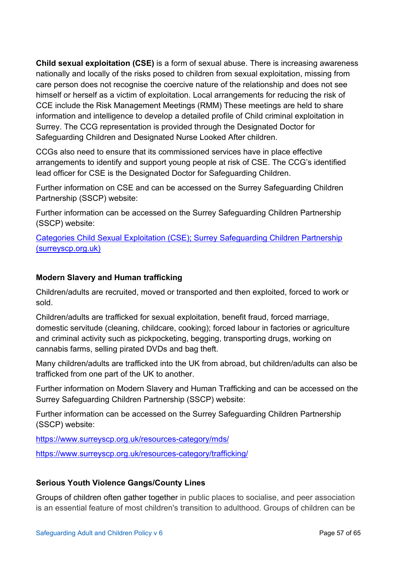**Child sexual exploitation (CSE)** is a form of sexual abuse. There is increasing awareness nationally and locally of the risks posed to children from sexual exploitation, missing from care person does not recognise the coercive nature of the relationship and does not see himself or herself as a victim of exploitation. Local arrangements for reducing the risk of CCE include the Risk Management Meetings (RMM) These meetings are held to share information and intelligence to develop a detailed profile of Child criminal exploitation in Surrey. The CCG representation is provided through the Designated Doctor for Safeguarding Children and Designated Nurse Looked After children.

CCGs also need to ensure that its commissioned services have in place effective arrangements to identify and support young people at risk of CSE. The CCG's identified lead officer for CSE is the Designated Doctor for Safeguarding Children.

Further information on CSE and can be accessed on the Surrey Safeguarding Children Partnership (SSCP) website:

Further information can be accessed on the Surrey Safeguarding Children Partnership (SSCP) website:

[Categories Child Sexual Exploitation \(CSE\); Surrey Safeguarding Children Partnership](https://www.surreyscp.org.uk/resources-category/cse/)  [\(surreyscp.org.uk\)](https://www.surreyscp.org.uk/resources-category/cse/)

## **Modern Slavery and Human trafficking**

Children/adults are recruited, moved or transported and then exploited, forced to work or sold.

Children/adults are trafficked for sexual exploitation, benefit fraud, forced marriage, domestic servitude (cleaning, childcare, cooking); forced labour in factories or agriculture and criminal activity such as pickpocketing, begging, transporting drugs, working on cannabis farms, selling pirated DVDs and bag theft.

Many children/adults are trafficked into the UK from abroad, but children/adults can also be trafficked from one part of the UK to another.

Further information on Modern Slavery and Human Trafficking and can be accessed on the Surrey Safeguarding Children Partnership (SSCP) website:

Further information can be accessed on the Surrey Safeguarding Children Partnership (SSCP) website:

<https://www.surreyscp.org.uk/resources-category/mds/>

<https://www.surreyscp.org.uk/resources-category/trafficking/>

#### **Serious Youth Violence Gangs/County Lines**

Groups of children often gather together in public places to socialise, and peer association is an essential feature of most children's transition to adulthood. Groups of children can be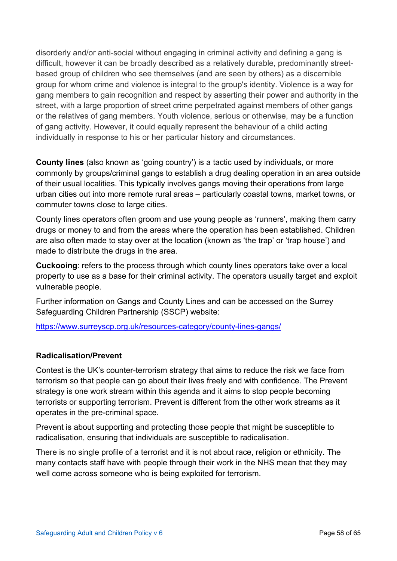disorderly and/or anti-social without engaging in criminal activity and defining a gang is difficult, however it can be broadly described as a relatively durable, predominantly streetbased group of children who see themselves (and are seen by others) as a discernible group for whom crime and violence is integral to the group's identity. Violence is a way for gang members to gain recognition and respect by asserting their power and authority in the street, with a large proportion of street crime perpetrated against members of other gangs or the relatives of gang members. Youth violence, serious or otherwise, may be a function of gang activity. However, it could equally represent the behaviour of a child acting individually in response to his or her particular history and circumstances.

**County lines** (also known as 'going country') is a tactic used by individuals, or more commonly by groups/criminal gangs to establish a drug dealing operation in an area outside of their usual localities. This typically involves gangs moving their operations from large urban cities out into more remote rural areas – particularly coastal towns, market towns, or commuter towns close to large cities.

County lines operators often groom and use young people as 'runners', making them carry drugs or money to and from the areas where the operation has been established. Children are also often made to stay over at the location (known as 'the trap' or 'trap house') and made to distribute the drugs in the area.

**Cuckooing**: refers to the process through which county lines operators take over a local property to use as a base for their criminal activity. The operators usually target and exploit vulnerable people.

Further information on Gangs and County Lines and can be accessed on the Surrey Safeguarding Children Partnership (SSCP) website:

<https://www.surreyscp.org.uk/resources-category/county-lines-gangs/>

#### **Radicalisation/Prevent**

Contest is the UK's counter-terrorism strategy that aims to reduce the risk we face from terrorism so that people can go about their lives freely and with confidence. The Prevent strategy is one work stream within this agenda and it aims to stop people becoming terrorists or supporting terrorism. Prevent is different from the other work streams as it operates in the pre-criminal space.

Prevent is about supporting and protecting those people that might be susceptible to radicalisation, ensuring that individuals are susceptible to radicalisation.

There is no single profile of a terrorist and it is not about race, religion or ethnicity. The many contacts staff have with people through their work in the NHS mean that they may well come across someone who is being exploited for terrorism.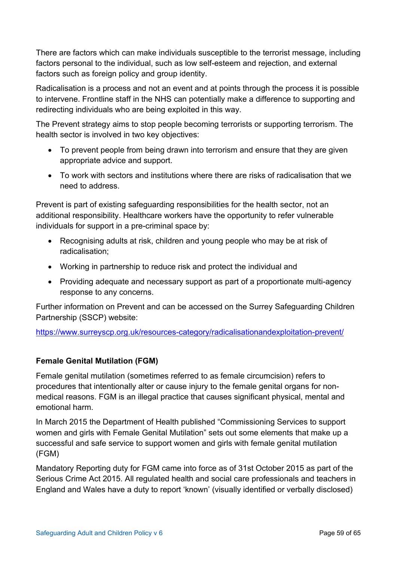There are factors which can make individuals susceptible to the terrorist message, including factors personal to the individual, such as low self-esteem and rejection, and external factors such as foreign policy and group identity.

Radicalisation is a process and not an event and at points through the process it is possible to intervene. Frontline staff in the NHS can potentially make a difference to supporting and redirecting individuals who are being exploited in this way.

The Prevent strategy aims to stop people becoming terrorists or supporting terrorism. The health sector is involved in two key objectives:

- To prevent people from being drawn into terrorism and ensure that they are given appropriate advice and support.
- To work with sectors and institutions where there are risks of radicalisation that we need to address.

Prevent is part of existing safeguarding responsibilities for the health sector, not an additional responsibility. Healthcare workers have the opportunity to refer vulnerable individuals for support in a pre-criminal space by:

- Recognising adults at risk, children and young people who may be at risk of radicalisation;
- Working in partnership to reduce risk and protect the individual and
- Providing adequate and necessary support as part of a proportionate multi-agency response to any concerns.

Further information on Prevent and can be accessed on the Surrey Safeguarding Children Partnership (SSCP) website:

<https://www.surreyscp.org.uk/resources-category/radicalisationandexploitation-prevent/>

## **Female Genital Mutilation (FGM)**

Female genital mutilation (sometimes referred to as female circumcision) refers to procedures that intentionally alter or cause injury to the female genital organs for nonmedical reasons. FGM is an illegal practice that causes significant physical, mental and emotional harm.

In March 2015 the Department of Health published "Commissioning Services to support women and girls with Female Genital Mutilation" sets out some elements that make up a successful and safe service to support women and girls with female genital mutilation (FGM)

Mandatory Reporting duty for FGM came into force as of 31st October 2015 as part of the Serious Crime Act 2015. All regulated health and social care professionals and teachers in England and Wales have a duty to report 'known' (visually identified or verbally disclosed)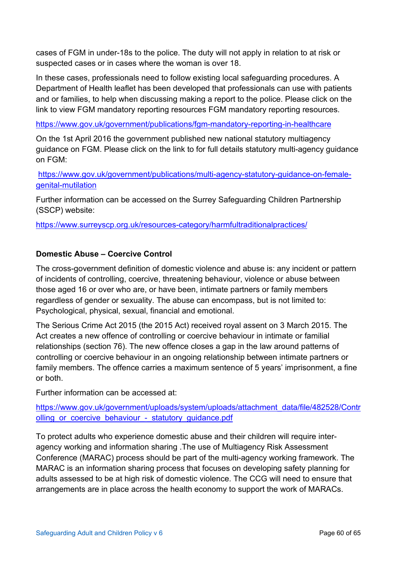cases of FGM in under-18s to the police. The duty will not apply in relation to at risk or suspected cases or in cases where the woman is over 18.

In these cases, professionals need to follow existing local safeguarding procedures. A Department of Health leaflet has been developed that professionals can use with patients and or families, to help when discussing making a report to the police. Please click on the link to view FGM mandatory reporting resources FGM mandatory reporting resources.

<https://www.gov.uk/government/publications/fgm-mandatory-reporting-in-healthcare>

On the 1st April 2016 the government published new national statutory multiagency guidance on FGM. Please click on the link to for full details statutory multi-agency guidance on FGM:

[https://www.gov.uk/government/publications/multi-agency-statutory-guidance-on-female](https://www.gov.uk/government/publications/multi-agency-statutory-guidance-on-female-genital-mutilation)[genital-mutilation](https://www.gov.uk/government/publications/multi-agency-statutory-guidance-on-female-genital-mutilation)

Further information can be accessed on the Surrey Safeguarding Children Partnership (SSCP) website:

<https://www.surreyscp.org.uk/resources-category/harmfultraditionalpractices/>

#### **Domestic Abuse – Coercive Control**

The cross-government definition of domestic violence and abuse is: any incident or pattern of incidents of controlling, coercive, threatening behaviour, violence or abuse between those aged 16 or over who are, or have been, intimate partners or family members regardless of gender or sexuality. The abuse can encompass, but is not limited to: Psychological, physical, sexual, financial and emotional.

The Serious Crime Act 2015 (the 2015 Act) received royal assent on 3 March 2015. The Act creates a new offence of controlling or coercive behaviour in intimate or familial relationships (section 76). The new offence closes a gap in the law around patterns of controlling or coercive behaviour in an ongoing relationship between intimate partners or family members. The offence carries a maximum sentence of 5 years' imprisonment, a fine or both.

Further information can be accessed at:

[https://www.gov.uk/government/uploads/system/uploads/attachment\\_data/file/482528/Contr](https://www.gov.uk/government/uploads/system/uploads/attachment_data/file/482528/Controlling_or_coercive_behaviour_-_statutory_guidance.pdf) olling or coercive behaviour - statutory quidance.pdf

To protect adults who experience domestic abuse and their children will require interagency working and information sharing .The use of Multiagency Risk Assessment Conference (MARAC) process should be part of the multi-agency working framework. The MARAC is an information sharing process that focuses on developing safety planning for adults assessed to be at high risk of domestic violence. The CCG will need to ensure that arrangements are in place across the health economy to support the work of MARACs.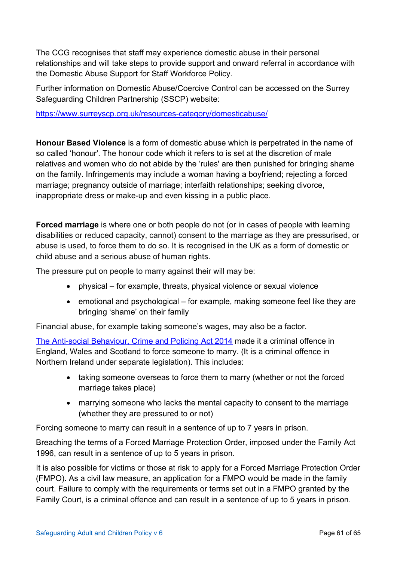The CCG recognises that staff may experience domestic abuse in their personal relationships and will take steps to provide support and onward referral in accordance with the Domestic Abuse Support for Staff Workforce Policy.

Further information on Domestic Abuse/Coercive Control can be accessed on the Surrey Safeguarding Children Partnership (SSCP) website:

<https://www.surreyscp.org.uk/resources-category/domesticabuse/>

**Honour Based Violence** is a form of domestic abuse which is perpetrated in the name of so called 'honour'. The honour code which it refers to is set at the discretion of male relatives and women who do not abide by the 'rules' are then punished for bringing shame on the family. Infringements may include a woman having a boyfriend; rejecting a forced marriage; pregnancy outside of marriage; interfaith relationships; seeking divorce, inappropriate dress or make-up and even kissing in a public place.

**Forced marriage** is where one or both people do not (or in cases of people with learning disabilities or reduced capacity, cannot) consent to the marriage as they are pressurised, or abuse is used, to force them to do so. It is recognised in the UK as a form of domestic or child abuse and a serious abuse of human rights.

The pressure put on people to marry against their will may be:

- physical for example, threats, physical violence or sexual violence
- emotional and psychological for example, making someone feel like they are bringing 'shame' on their family

Financial abuse, for example taking someone's wages, may also be a factor.

[The Anti-social Behaviour, Crime and Policing Act 2014](http://www.legislation.gov.uk/ukpga/2014/12/contents/enacted) made it a criminal offence in England, Wales and Scotland to force someone to marry. (It is a criminal offence in Northern Ireland under separate legislation). This includes:

- taking someone overseas to force them to marry (whether or not the forced marriage takes place)
- marrying someone who lacks the mental capacity to consent to the marriage (whether they are pressured to or not)

Forcing someone to marry can result in a sentence of up to 7 years in prison.

Breaching the terms of a Forced Marriage Protection Order, imposed under the Family Act 1996, can result in a sentence of up to 5 years in prison.

It is also possible for victims or those at risk to apply for a Forced Marriage Protection Order (FMPO). As a civil law measure, an application for a FMPO would be made in the family court. Failure to comply with the requirements or terms set out in a FMPO granted by the Family Court, is a criminal offence and can result in a sentence of up to 5 years in prison.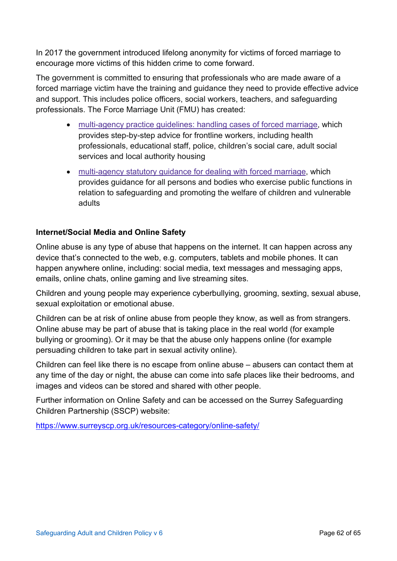In 2017 the government introduced lifelong anonymity for victims of forced marriage to encourage more victims of this hidden crime to come forward.

The government is committed to ensuring that professionals who are made aware of a forced marriage victim have the training and guidance they need to provide effective advice and support. This includes police officers, social workers, teachers, and safeguarding professionals. The Force Marriage Unit (FMU) has created:

- [multi-agency](https://www.gov.uk/government/uploads/system/uploads/attachment_data/file/322307/HMG_MULTI_AGENCY_PRACTICE_GUIDELINES_v1_180614_FINAL.pdf) practice guidelines: handling cases of forced marriage, which provides step-by-step advice for frontline workers, including health professionals, educational staff, police, children's social care, adult social services and local authority housing
- [multi-agency](https://www.gov.uk/government/uploads/system/uploads/attachment_data/file/322310/HMG_Statutory_Guidance_publication_180614_Final.pdf) statutory quidance for dealing with forced marriage, which provides guidance for all persons and bodies who exercise public functions in relation to safeguarding and promoting the welfare of children and vulnerable adults

## **Internet/Social Media and Online Safety**

Online abuse is any type of abuse that happens on the internet. It can happen across any device that's connected to the web, e.g. computers, tablets and mobile phones. It can happen anywhere online, including: social media, text messages and messaging apps, emails, online chats, online gaming and live streaming sites.

Children and young people may experience cyberbullying, grooming, sexting, sexual abuse, sexual exploitation or emotional abuse.

Children can be at risk of online abuse from people they know, as well as from strangers. Online abuse may be part of abuse that is taking place in the real world (for example bullying or grooming). Or it may be that the abuse only happens online (for example persuading children to take part in sexual activity online).

Children can feel like there is no escape from online abuse – abusers can contact them at any time of the day or night, the abuse can come into safe places like their bedrooms, and images and videos can be stored and shared with other people.

Further information on Online Safety and can be accessed on the Surrey Safeguarding Children Partnership (SSCP) website:

<https://www.surreyscp.org.uk/resources-category/online-safety/>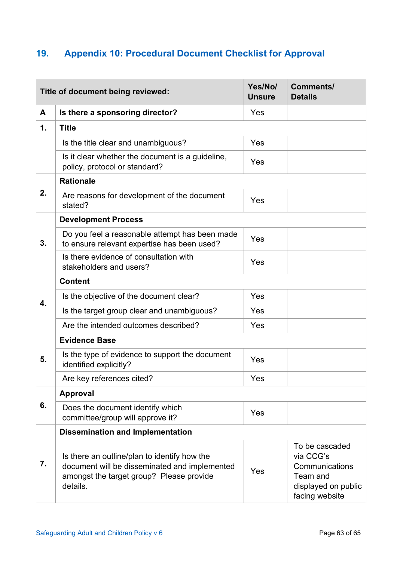# <span id="page-62-0"></span>**19. Appendix 10: Procedural Document Checklist for Approval**

| Title of document being reviewed: |                                                                                                                                                       | Yes/No/<br><b>Unsure</b> | <b>Comments/</b><br><b>Details</b>                                                                 |  |  |
|-----------------------------------|-------------------------------------------------------------------------------------------------------------------------------------------------------|--------------------------|----------------------------------------------------------------------------------------------------|--|--|
| A                                 | Is there a sponsoring director?                                                                                                                       | Yes                      |                                                                                                    |  |  |
| 1.                                | <b>Title</b>                                                                                                                                          |                          |                                                                                                    |  |  |
|                                   | Is the title clear and unambiguous?                                                                                                                   | Yes                      |                                                                                                    |  |  |
|                                   | Is it clear whether the document is a guideline,<br>policy, protocol or standard?                                                                     | Yes                      |                                                                                                    |  |  |
|                                   | <b>Rationale</b>                                                                                                                                      |                          |                                                                                                    |  |  |
| 2.                                | Are reasons for development of the document<br>stated?                                                                                                | Yes                      |                                                                                                    |  |  |
|                                   | <b>Development Process</b>                                                                                                                            |                          |                                                                                                    |  |  |
| 3.                                | Do you feel a reasonable attempt has been made<br>to ensure relevant expertise has been used?                                                         | Yes                      |                                                                                                    |  |  |
|                                   | Is there evidence of consultation with<br>stakeholders and users?                                                                                     | Yes                      |                                                                                                    |  |  |
|                                   | <b>Content</b>                                                                                                                                        |                          |                                                                                                    |  |  |
| 4.                                | Is the objective of the document clear?                                                                                                               | Yes                      |                                                                                                    |  |  |
|                                   | Is the target group clear and unambiguous?                                                                                                            | Yes                      |                                                                                                    |  |  |
|                                   | Are the intended outcomes described?                                                                                                                  | Yes                      |                                                                                                    |  |  |
| 5.                                | <b>Evidence Base</b>                                                                                                                                  |                          |                                                                                                    |  |  |
|                                   | Is the type of evidence to support the document<br>identified explicitly?                                                                             | Yes                      |                                                                                                    |  |  |
|                                   | Are key references cited?                                                                                                                             | Yes                      |                                                                                                    |  |  |
| 6.                                | <b>Approval</b>                                                                                                                                       |                          |                                                                                                    |  |  |
|                                   | Does the document identify which<br>committee/group will approve it?                                                                                  | Yes                      |                                                                                                    |  |  |
| 7.                                | <b>Dissemination and Implementation</b>                                                                                                               |                          |                                                                                                    |  |  |
|                                   | Is there an outline/plan to identify how the<br>document will be disseminated and implemented<br>amongst the target group? Please provide<br>details. | Yes                      | To be cascaded<br>via CCG's<br>Communications<br>Team and<br>displayed on public<br>facing website |  |  |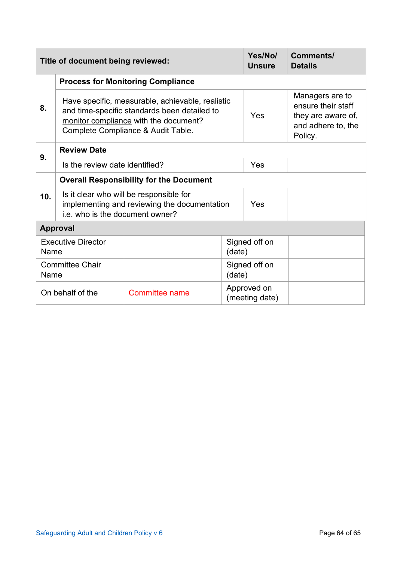| Title of document being reviewed: |                                                                                                                                                                                 | Yes/No/<br><b>Unsure</b> | Comments/<br><b>Details</b>   |     |                                                                                              |
|-----------------------------------|---------------------------------------------------------------------------------------------------------------------------------------------------------------------------------|--------------------------|-------------------------------|-----|----------------------------------------------------------------------------------------------|
|                                   | <b>Process for Monitoring Compliance</b>                                                                                                                                        |                          |                               |     |                                                                                              |
| 8.                                | Have specific, measurable, achievable, realistic<br>and time-specific standards been detailed to<br>monitor compliance with the document?<br>Complete Compliance & Audit Table. |                          |                               | Yes | Managers are to<br>ensure their staff<br>they are aware of,<br>and adhere to, the<br>Policy. |
| 9.                                | <b>Review Date</b>                                                                                                                                                              |                          |                               |     |                                                                                              |
|                                   | Is the review date identified?                                                                                                                                                  |                          |                               | Yes |                                                                                              |
| 10.                               | <b>Overall Responsibility for the Document</b>                                                                                                                                  |                          |                               |     |                                                                                              |
|                                   | Is it clear who will be responsible for<br>implementing and reviewing the documentation<br>i.e. who is the document owner?                                                      |                          | Yes                           |     |                                                                                              |
| <b>Approval</b>                   |                                                                                                                                                                                 |                          |                               |     |                                                                                              |
| Name                              | <b>Executive Director</b>                                                                                                                                                       |                          | Signed off on<br>(date)       |     |                                                                                              |
| Name                              | <b>Committee Chair</b>                                                                                                                                                          |                          | Signed off on<br>(date)       |     |                                                                                              |
|                                   | On behalf of the<br><b>Committee name</b>                                                                                                                                       |                          | Approved on<br>(meeting date) |     |                                                                                              |